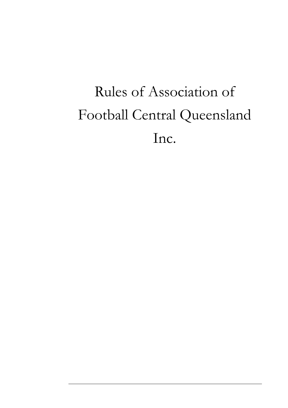# Rules of Association of Football Central Queensland Inc.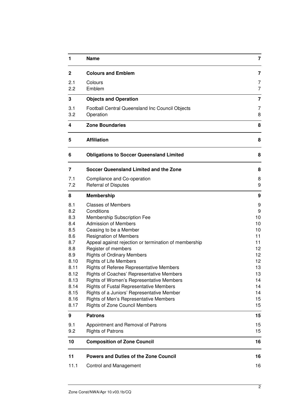| 1                                                                                                                           | <b>Name</b>                                                                                                                                                                                                                                                                                                                                                                                                                                                                                                                                                                                                                                           | 7                                                                                                |
|-----------------------------------------------------------------------------------------------------------------------------|-------------------------------------------------------------------------------------------------------------------------------------------------------------------------------------------------------------------------------------------------------------------------------------------------------------------------------------------------------------------------------------------------------------------------------------------------------------------------------------------------------------------------------------------------------------------------------------------------------------------------------------------------------|--------------------------------------------------------------------------------------------------|
| $\mathbf{2}$                                                                                                                | <b>Colours and Emblem</b>                                                                                                                                                                                                                                                                                                                                                                                                                                                                                                                                                                                                                             | 7                                                                                                |
| 2.1<br>2.2                                                                                                                  | Colours<br>Emblem                                                                                                                                                                                                                                                                                                                                                                                                                                                                                                                                                                                                                                     | 7<br>7                                                                                           |
| 3                                                                                                                           | <b>Objects and Operation</b>                                                                                                                                                                                                                                                                                                                                                                                                                                                                                                                                                                                                                          | 7                                                                                                |
| 3.1<br>3.2                                                                                                                  | Football Central Queensland Inc Council Objects<br>Operation                                                                                                                                                                                                                                                                                                                                                                                                                                                                                                                                                                                          | 7<br>8                                                                                           |
| 4                                                                                                                           | <b>Zone Boundaries</b>                                                                                                                                                                                                                                                                                                                                                                                                                                                                                                                                                                                                                                | 8                                                                                                |
| 5                                                                                                                           | <b>Affiliation</b>                                                                                                                                                                                                                                                                                                                                                                                                                                                                                                                                                                                                                                    | 8                                                                                                |
| 6                                                                                                                           | <b>Obligations to Soccer Queensland Limited</b>                                                                                                                                                                                                                                                                                                                                                                                                                                                                                                                                                                                                       | 8                                                                                                |
| 7                                                                                                                           | Soccer Queensland Limited and the Zone                                                                                                                                                                                                                                                                                                                                                                                                                                                                                                                                                                                                                | 8                                                                                                |
| 7.1<br>7.2                                                                                                                  | Compliance and Co-operation<br><b>Referral of Disputes</b>                                                                                                                                                                                                                                                                                                                                                                                                                                                                                                                                                                                            | 8<br>9                                                                                           |
| 8                                                                                                                           | <b>Membership</b>                                                                                                                                                                                                                                                                                                                                                                                                                                                                                                                                                                                                                                     | 9                                                                                                |
| 8.1<br>8.2<br>8.3<br>8.4<br>8.5<br>8.6<br>8.7<br>8.8<br>8.9<br>8.10<br>8.11<br>8.12<br>8.13<br>8.14<br>8.15<br>8.16<br>8.17 | <b>Classes of Members</b><br>Conditions<br>Membership Subscription Fee<br><b>Admission of Members</b><br>Ceasing to be a Member<br><b>Resignation of Members</b><br>Appeal against rejection or termination of membership<br>Register of members<br><b>Rights of Ordinary Members</b><br><b>Rights of Life Members</b><br><b>Rights of Referee Representative Members</b><br>Rights of Coaches' Representative Members<br>Rights of Women's Representative Members<br><b>Rights of Fustal Representative Members</b><br>Rights of a Juniors' Representative Member<br>Rights of Men's Representative Members<br><b>Rights of Zone Council Members</b> | 9<br>9<br>10<br>10<br>10<br>11<br>11<br>12<br>12<br>12<br>13<br>13<br>14<br>14<br>14<br>15<br>15 |
| 9                                                                                                                           | <b>Patrons</b>                                                                                                                                                                                                                                                                                                                                                                                                                                                                                                                                                                                                                                        | 15                                                                                               |
| 9.1<br>9.2                                                                                                                  | Appointment and Removal of Patrons<br><b>Rights of Patrons</b>                                                                                                                                                                                                                                                                                                                                                                                                                                                                                                                                                                                        | 15<br>15                                                                                         |
| 10                                                                                                                          | <b>Composition of Zone Council</b>                                                                                                                                                                                                                                                                                                                                                                                                                                                                                                                                                                                                                    | 16                                                                                               |
| 11                                                                                                                          | <b>Powers and Duties of the Zone Council</b>                                                                                                                                                                                                                                                                                                                                                                                                                                                                                                                                                                                                          | 16                                                                                               |
| 11.1                                                                                                                        | <b>Control and Management</b>                                                                                                                                                                                                                                                                                                                                                                                                                                                                                                                                                                                                                         | 16                                                                                               |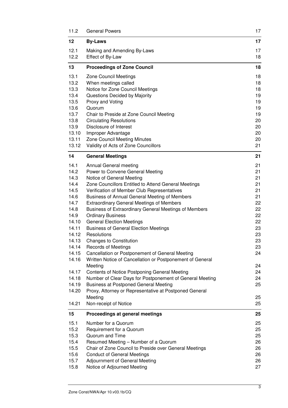| 11.2           | <b>General Powers</b>                                                                                    | 17       |
|----------------|----------------------------------------------------------------------------------------------------------|----------|
| 12             | <b>By-Laws</b>                                                                                           | 17       |
| 12.1           | Making and Amending By-Laws                                                                              | 17       |
| 12.2           | Effect of By-Law                                                                                         | 18       |
| 13             | <b>Proceedings of Zone Council</b>                                                                       | 18       |
| 13.1           | <b>Zone Council Meetings</b>                                                                             | 18       |
| 13.2           | When meetings called                                                                                     | 18       |
| 13.3           | Notice for Zone Council Meetings                                                                         | 18       |
| 13.4           | Questions Decided by Majority                                                                            | 19       |
| 13.5           | Proxy and Voting                                                                                         | 19       |
| 13.6<br>13.7   | Quorum                                                                                                   | 19<br>19 |
| 13.8           | Chair to Preside at Zone Council Meeting<br><b>Circulating Resolutions</b>                               | 20       |
| 13.9           | Disclosure of Interest                                                                                   | 20       |
| 13.10          | Improper Advantage                                                                                       | 20       |
| 13.11          | Zone Council Meeting Minutes                                                                             | 20       |
| 13.12          | Validity of Acts of Zone Councillors                                                                     | 21       |
| 14             | <b>General Meetings</b>                                                                                  | 21       |
| 14.1           | Annual General meeting                                                                                   | 21       |
| 14.2           | Power to Convene General Meeting                                                                         | 21       |
| 14.3           | Notice of General Meeting                                                                                | 21       |
| 14.4           | Zone Councillors Entitled to Attend General Meetings                                                     | 21       |
| 14.5<br>14.6   | Verification of Member Club Representatives                                                              | 21<br>21 |
| 14.7           | Business of Annual General Meeting of Members<br><b>Extraordinary General Meetings of Members</b>        | 22       |
| 14.8           | Business of Extraordinary General Meetings of Members                                                    | 22       |
| 14.9           | <b>Ordinary Business</b>                                                                                 | 22       |
| 14.10          | <b>General Election Meetings</b>                                                                         | 22       |
| 14.11          | <b>Business of General Election Meetings</b>                                                             | 23       |
| 14.12          | Resolutions                                                                                              | 23       |
| 14.13          | <b>Changes to Constitution</b>                                                                           | 23       |
| 14.14          | <b>Records of Meetings</b>                                                                               | 23       |
| 14.15          | Cancellation or Postponement of General Meeting                                                          | 24       |
| 14.16          | Written Notice of Cancellation or Postponement of General                                                |          |
|                | Meeting                                                                                                  | 24       |
| 14.17          | <b>Contents of Notice Postponing General Meeting</b>                                                     | 24       |
| 14.18<br>14.19 | Number of Clear Days for Postponement of General Meeting<br><b>Business at Postponed General Meeting</b> | 24<br>25 |
| 14.20          | Proxy, Attorney or Representative at Postponed General                                                   |          |
|                | Meeting                                                                                                  | 25       |
| 14.21          | Non-receipt of Notice                                                                                    | 25       |
| 15             | Proceedings at general meetings                                                                          | 25       |
| 15.1           | Number for a Quorum                                                                                      | 25       |
| 15.2           | Requirement for a Quorum                                                                                 | 25       |
| 15.3           | Quorum and Time                                                                                          | 25       |
| 15.4           | Resumed Meeting - Number of a Quorum                                                                     | 26       |
| 15.5           | Chair of Zone Council to Preside over General Meetings                                                   | 26       |
| 15.6           | <b>Conduct of General Meetings</b>                                                                       | 26       |
| 15.7           | Adjournment of General Meeting                                                                           | 26       |
| 15.8           | Notice of Adjourned Meeting                                                                              | 27       |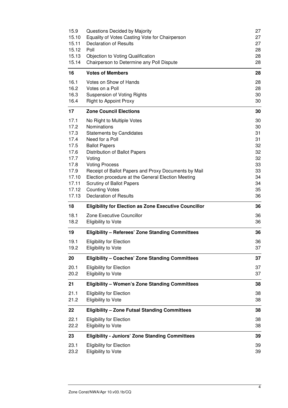| 15.9  | Questions Decided by Majority                                | 27 |
|-------|--------------------------------------------------------------|----|
| 15.10 | Equality of Votes Casting Vote for Chairperson               | 27 |
| 15.11 | <b>Declaration of Results</b>                                | 27 |
| 15.12 | Poll                                                         | 28 |
| 15.13 | <b>Objection to Voting Qualification</b>                     | 28 |
| 15.14 | Chairperson to Determine any Poll Dispute                    | 28 |
| 16    | <b>Votes of Members</b>                                      | 28 |
| 16.1  | Votes on Show of Hands                                       | 28 |
| 16.2  | Votes on a Poll                                              | 28 |
| 16.3  | <b>Suspension of Voting Rights</b>                           | 30 |
| 16.4  | <b>Right to Appoint Proxy</b>                                | 30 |
| 17    | <b>Zone Council Elections</b>                                | 30 |
| 17.1  | No Right to Multiple Votes                                   | 30 |
| 17.2  | Nominations                                                  | 30 |
| 17.3  | <b>Statements by Candidates</b>                              | 31 |
| 17.4  | Need for a Poll                                              | 31 |
| 17.5  | <b>Ballot Papers</b>                                         | 32 |
| 17.6  | Distribution of Ballot Papers                                | 32 |
| 17.7  | Voting                                                       | 32 |
| 17.8  | <b>Voting Process</b>                                        | 33 |
| 17.9  | Receipt of Ballot Papers and Proxy Documents by Mail         | 33 |
| 17.10 | Election procedure at the General Election Meeting           | 34 |
| 17.11 | <b>Scrutiny of Ballot Papers</b>                             | 34 |
| 17.12 | <b>Counting Votes</b>                                        | 35 |
| 17.13 | <b>Declaration of Results</b>                                | 36 |
| 18    | <b>Eligibility for Election as Zone Executive Councillor</b> | 36 |
| 18.1  | Zone Executive Councillor                                    | 36 |
| 18.2  | <b>Eligibility to Vote</b>                                   | 36 |
| 19    | <b>Eligibility - Referees' Zone Standing Committees</b>      | 36 |
| 19.1  | <b>Eligibility for Election</b>                              | 36 |
| 19.2  | <b>Eligibility to Vote</b>                                   | 37 |
| 20    | <b>Eligibility - Coaches' Zone Standing Committees</b>       | 37 |
| 20.1  | <b>Eligibility for Election</b>                              | 37 |
| 20.2  | Eligibility to Vote                                          | 37 |
| 21    | <b>Eligibility - Women's Zone Standing Committees</b>        | 38 |
| 21.1  | <b>Eligibility for Election</b>                              | 38 |
| 21.2  | <b>Eligibility to Vote</b>                                   | 38 |
| 22    | <b>Eligibility - Zone Futsal Standing Committees</b>         | 38 |
| 22.1  | <b>Eligibility for Election</b>                              | 38 |
| 22.2  | <b>Eligibility to Vote</b>                                   | 38 |
| 23    | <b>Eligibility - Juniors' Zone Standing Committees</b>       | 39 |
| 23.1  | <b>Eligibility for Election</b>                              | 39 |
| 23.2  | Eligibility to Vote                                          | 39 |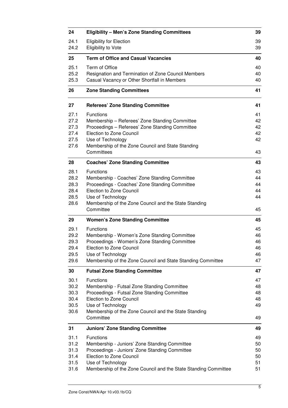| 24           | <b>Eligibility - Men's Zone Standing Committees</b>                        | 39       |
|--------------|----------------------------------------------------------------------------|----------|
| 24.1<br>24.2 | <b>Eligibility for Election</b><br><b>Eligibility to Vote</b>              | 39<br>39 |
| 25           | <b>Term of Office and Casual Vacancies</b>                                 | 40       |
| 25.1         | Term of Office                                                             | 40       |
| 25.2         | Resignation and Termination of Zone Council Members                        | 40       |
| 25.3         | Casual Vacancy or Other Shortfall in Members                               | 40       |
| 26           | <b>Zone Standing Committees</b>                                            | 41       |
| 27           | <b>Referees' Zone Standing Committee</b>                                   | 41       |
| 27.1         | <b>Functions</b>                                                           | 41       |
| 27.2         | Membership - Referees' Zone Standing Committee                             | 42       |
| 27.3         | Proceedings - Referees' Zone Standing Committee                            | 42       |
| 27.4         | <b>Election to Zone Council</b>                                            | 42       |
| 27.5         | Use of Technology                                                          | 42       |
| 27.6         | Membership of the Zone Council and State Standing<br>Committees            | 43       |
|              |                                                                            |          |
| 28           | <b>Coaches' Zone Standing Committee</b>                                    | 43       |
| 28.1         | Functions                                                                  | 43       |
| 28.2         | Membership - Coaches' Zone Standing Committee                              | 44       |
| 28.3         | Proceedings - Coaches' Zone Standing Committee                             | 44       |
| 28.4         | <b>Election to Zone Council</b>                                            | 44<br>44 |
| 28.5<br>28.6 | Use of Technology<br>Membership of the Zone Council and the State Standing |          |
|              | Committee                                                                  | 45       |
| 29           | <b>Women's Zone Standing Committee</b>                                     | 45       |
| 29.1         | Functions                                                                  | 45       |
| 29.2         | Membership - Women's Zone Standing Committee                               | 46       |
| 29.3         | Proceedings - Women's Zone Standing Committee                              | 46       |
| 29.4         | <b>Election to Zone Council</b>                                            | 46       |
| 29.5         | Use of Technology                                                          | 46       |
| 29.6         | Membership of the Zone Council and State Standing Committee                | 47       |
| 30           | <b>Futsal Zone Standing Committee</b>                                      | 47       |
| 30.1         | Functions                                                                  | 47       |
| 30.2         | Membership - Futsal Zone Standing Committee                                | 48       |
| 30.3         | Proceedings - Futsal Zone Standing Committee                               | 48       |
| 30.4         | <b>Election to Zone Council</b>                                            | 48       |
| 30.5<br>30.6 | Use of Technology<br>Membership of the Zone Council and the State Standing | 49       |
|              | Committee                                                                  | 49       |
| 31           | <b>Juniors' Zone Standing Committee</b>                                    | 49       |
| 31.1         | Functions                                                                  | 49       |
| 31.2         | Membership - Juniors' Zone Standing Committee                              | 50       |
| 31.3         | Proceedings - Juniors' Zone Standing Committee                             | 50       |
| 31.4         | Election to Zone Council                                                   | 50       |
| 31.5         | Use of Technology                                                          | 51       |
| 31.6         | Membership of the Zone Council and the State Standing Committee            | 51       |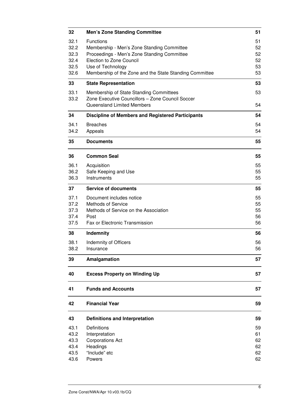| <b>Men's Zone Standing Committee</b>                                                                                                      | 51                               |
|-------------------------------------------------------------------------------------------------------------------------------------------|----------------------------------|
| <b>Functions</b><br>Membership - Men's Zone Standing Committee<br>Proceedings - Men's Zone Standing Committee<br>Election to Zone Council | 51<br>52<br>52<br>52<br>53       |
| Membership of the Zone and the State Standing Committee                                                                                   | 53                               |
| <b>State Representation</b>                                                                                                               | 53                               |
| Membership of State Standing Committees<br>Zone Executive Councillors - Zone Council Soccer<br><b>Queensland Limited Members</b>          | 53<br>54                         |
| <b>Discipline of Members and Registered Participants</b>                                                                                  | 54                               |
| <b>Breaches</b><br>Appeals                                                                                                                | 54<br>54                         |
| <b>Documents</b>                                                                                                                          | 55                               |
| <b>Common Seal</b>                                                                                                                        | 55                               |
| Acquisition<br>Safe Keeping and Use<br>Instruments                                                                                        | 55<br>55<br>55                   |
| <b>Service of documents</b>                                                                                                               | 55                               |
| Document includes notice<br><b>Methods of Service</b><br>Methods of Service on the Association<br>Post<br>Fax or Electronic Transmission  | 55<br>55<br>55<br>56<br>56       |
| Indemnity                                                                                                                                 | 56                               |
| Indemnity of Officers<br>Insurance                                                                                                        | 56<br>56                         |
| Amalgamation                                                                                                                              | 57                               |
| <b>Excess Property on Winding Up</b>                                                                                                      | 57                               |
| <b>Funds and Accounts</b>                                                                                                                 | 57                               |
| <b>Financial Year</b>                                                                                                                     | 59                               |
| <b>Definitions and Interpretation</b>                                                                                                     | 59                               |
| Definitions<br>Interpretation<br><b>Corporations Act</b><br>Headings<br>"Include" etc                                                     | 59<br>61<br>62<br>62<br>62<br>62 |
|                                                                                                                                           | Use of Technology<br>Powers      |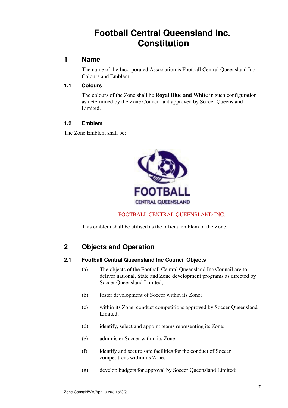# **Football Central Queensland Inc. Constitution**

# **1 Name**

The name of the Incorporated Association is Football Central Queensland Inc. Colours and Emblem

#### **1.1 Colours**

The colours of the Zone shall be **Royal Blue and White** in such configuration as determined by the Zone Council and approved by Soccer Queensland Limited.

#### **1.2 Emblem**

The Zone Emblem shall be:



FOOTBALL CENTRAL QUEENSLAND INC.

This emblem shall be utilised as the official emblem of the Zone.

# **2 Objects and Operation**

#### **2.1 Football Central Queensland Inc Council Objects**

- (a) The objects of the Football Central Queensland Inc Council are to: deliver national, State and Zone development programs as directed by Soccer Queensland Limited;
- (b) foster development of Soccer within its Zone;
- (c) within its Zone, conduct competitions approved by Soccer Queensland Limited;
- (d) identify, select and appoint teams representing its Zone;
- (e) administer Soccer within its Zone;
- (f) identify and secure safe facilities for the conduct of Soccer competitions within its Zone;
- (g) develop budgets for approval by Soccer Queensland Limited;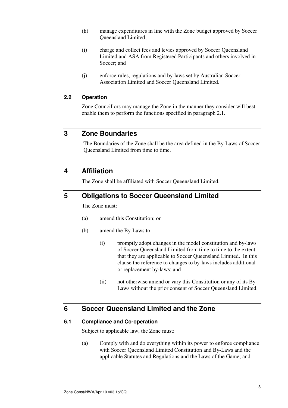- (h) manage expenditures in line with the Zone budget approved by Soccer Queensland Limited;
- (i) charge and collect fees and levies approved by Soccer Queensland Limited and ASA from Registered Participants and others involved in Soccer; and
- (j) enforce rules, regulations and by-laws set by Australian Soccer Association Limited and Soccer Queensland Limited.

#### **2.2 Operation**

Zone Councillors may manage the Zone in the manner they consider will best enable them to perform the functions specified in paragraph 2.1.

# **3 Zone Boundaries**

 The Boundaries of the Zone shall be the area defined in the By-Laws of Soccer Queensland Limited from time to time.

# **4 Affiliation**

The Zone shall be affiliated with Soccer Queensland Limited.

# **5 Obligations to Soccer Queensland Limited**

The Zone must:

- (a) amend this Constitution; or
- (b) amend the By-Laws to
	- (i) promptly adopt changes in the model constitution and by-laws of Soccer Queensland Limited from time to time to the extent that they are applicable to Soccer Queensland Limited. In this clause the reference to changes to by-laws includes additional or replacement by-laws; and
	- (ii) not otherwise amend or vary this Constitution or any of its By-Laws without the prior consent of Soccer Queensland Limited.

# **6 Soccer Queensland Limited and the Zone**

#### **6.1 Compliance and Co-operation**

Subject to applicable law, the Zone must:

(a) Comply with and do everything within its power to enforce compliance with Soccer Queensland Limited Constitution and By-Laws and the applicable Statutes and Regulations and the Laws of the Game; and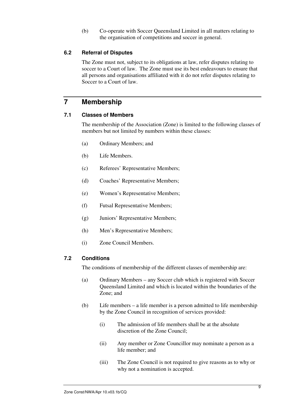(b) Co-operate with Soccer Queensland Limited in all matters relating to the organisation of competitions and soccer in general.

#### **6.2 Referral of Disputes**

The Zone must not, subject to its obligations at law, refer disputes relating to soccer to a Court of law. The Zone must use its best endeavours to ensure that all persons and organisations affiliated with it do not refer disputes relating to Soccer to a Court of law.

# **7 Membership**

#### **7.1 Classes of Members**

The membership of the Association (Zone) is limited to the following classes of members but not limited by numbers within these classes:

- (a) Ordinary Members; and
- (b) Life Members.
- (c) Referees' Representative Members;
- (d) Coaches' Representative Members;
- (e) Women's Representative Members;
- (f) Futsal Representative Members;
- (g) Juniors' Representative Members;
- (h) Men's Representative Members;
- (i) Zone Council Members.

#### **7.2 Conditions**

The conditions of membership of the different classes of membership are:

- (a) Ordinary Members any Soccer club which is registered with Soccer Queensland Limited and which is located within the boundaries of the Zone; and
- (b) Life members a life member is a person admitted to life membership by the Zone Council in recognition of services provided:
	- (i) The admission of life members shall be at the absolute discretion of the Zone Council;
	- (ii) Any member or Zone Councillor may nominate a person as a life member; and
	- (iii) The Zone Council is not required to give reasons as to why or why not a nomination is accepted.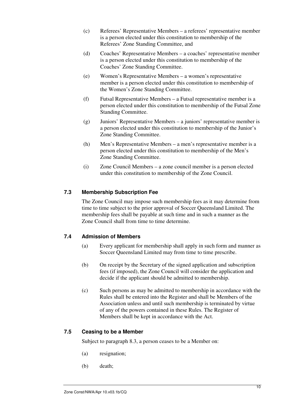- (c) Referees' Representative Members a referees' representative member is a person elected under this constitution to membership of the Referees' Zone Standing Committee, and
- (d) Coaches' Representative Members a coaches' representative member is a person elected under this constitution to membership of the Coaches' Zone Standing Committee.
- (e) Women's Representative Members a women's representative member is a person elected under this constitution to membership of the Women's Zone Standing Committee.
- (f) Futsal Representative Members a Futsal representative member is a person elected under this constitution to membership of the Futsal Zone Standing Committee.
- (g) Juniors' Representative Members a juniors' representative member is a person elected under this constitution to membership of the Junior's Zone Standing Committee.
- (h) Men's Representative Members a men's representative member is a person elected under this constitution to membership of the Men's Zone Standing Committee.
- (i) Zone Council Members a zone council member is a person elected under this constitution to membership of the Zone Council.

#### **7.3 Membership Subscription Fee**

The Zone Council may impose such membership fees as it may determine from time to time subject to the prior approval of Soccer Queensland Limited. The membership fees shall be payable at such time and in such a manner as the Zone Council shall from time to time determine.

#### **7.4 Admission of Members**

- (a) Every applicant for membership shall apply in such form and manner as Soccer Queensland Limited may from time to time prescribe.
- (b) On receipt by the Secretary of the signed application and subscription fees (if imposed), the Zone Council will consider the application and decide if the applicant should be admitted to membership.
- (c) Such persons as may be admitted to membership in accordance with the Rules shall be entered into the Register and shall be Members of the Association unless and until such membership is terminated by virtue of any of the powers contained in these Rules. The Register of Members shall be kept in accordance with the Act.

#### **7.5 Ceasing to be a Member**

Subject to paragraph 8.3, a person ceases to be a Member on:

- (a) resignation;
- (b) death;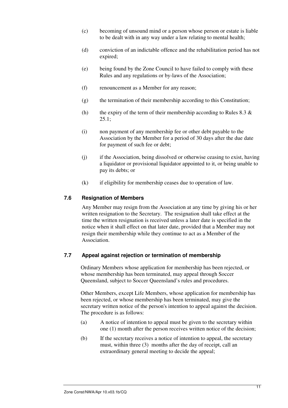- (c) becoming of unsound mind or a person whose person or estate is liable to be dealt with in any way under a law relating to mental health;
- (d) conviction of an indictable offence and the rehabilitation period has not expired;
- (e) being found by the Zone Council to have failed to comply with these Rules and any regulations or by-laws of the Association;
- (f) renouncement as a Member for any reason;
- (g) the termination of their membership according to this Constitution;
- (h) the expiry of the term of their membership according to Rules  $8.3 \&$  $25.1;$
- (i) non payment of any membership fee or other debt payable to the Association by the Member for a period of 30 days after the due date for payment of such fee or debt;
- (j) if the Association, being dissolved or otherwise ceasing to exist, having a liquidator or provisional liquidator appointed to it, or being unable to pay its debts; or
- (k) if eligibility for membership ceases due to operation of law.

#### **7.6 Resignation of Members**

Any Member may resign from the Association at any time by giving his or her written resignation to the Secretary. The resignation shall take effect at the time the written resignation is received unless a later date is specified in the notice when it shall effect on that later date, provided that a Member may not resign their membership while they continue to act as a Member of the Association.

#### **7.7 Appeal against rejection or termination of membership**

Ordinary Members whose application for membership has been rejected, or whose membership has been terminated, may appeal through Soccer Queensland, subject to Soccer Queensland's rules and procedures.

Other Members, except Life Members, whose application for membership has been rejected, or whose membership has been terminated, may give the secretary written notice of the person's intention to appeal against the decision. The procedure is as follows:

- (a) A notice of intention to appeal must be given to the secretary within one (1) month after the person receives written notice of the decision;
- (b) If the secretary receives a notice of intention to appeal, the secretary must, within three (3) months after the day of receipt, call an extraordinary general meeting to decide the appeal;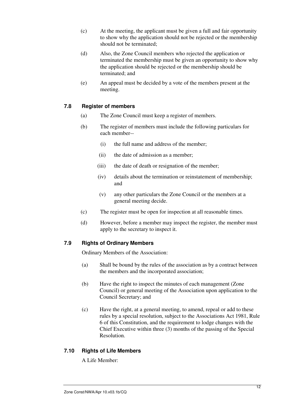- (c) At the meeting, the applicant must be given a full and fair opportunity to show why the application should not be rejected or the membership should not be terminated;
- (d) Also, the Zone Council members who rejected the application or terminated the membership must be given an opportunity to show why the application should be rejected or the membership should be terminated; and
- (e) An appeal must be decided by a vote of the members present at the meeting.

#### **7.8 Register of members**

- (a) The Zone Council must keep a register of members.
- (b) The register of members must include the following particulars for each member--
	- (i) the full name and address of the member;
	- (ii) the date of admission as a member;
	- (iii) the date of death or resignation of the member;
	- (iv) details about the termination or reinstatement of membership; and
	- (v) any other particulars the Zone Council or the members at a general meeting decide.
- (c) The register must be open for inspection at all reasonable times.
- (d) However, before a member may inspect the register, the member must apply to the secretary to inspect it.

#### **7.9 Rights of Ordinary Members**

Ordinary Members of the Association:

- (a) Shall be bound by the rules of the association as by a contract between the members and the incorporated association;
- (b) Have the right to inspect the minutes of each management (Zone Council) or general meeting of the Association upon application to the Council Secretary; and
- (c) Have the right, at a general meeting, to amend, repeal or add to these rules by a special resolution, subject to the Associations Act 1981, Rule 6 of this Constitution, and the requirement to lodge changes with the Chief Executive within three (3) months of the passing of the Special Resolution.

# **7.10 Rights of Life Members**

A Life Member: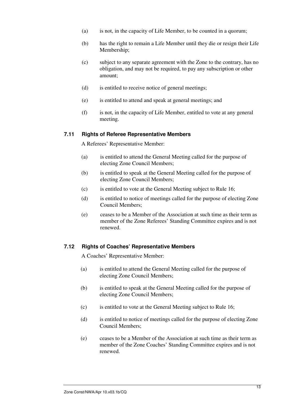- (a) is not, in the capacity of Life Member, to be counted in a quorum;
- (b) has the right to remain a Life Member until they die or resign their Life Membership;
- (c) subject to any separate agreement with the Zone to the contrary, has no obligation, and may not be required, to pay any subscription or other amount;
- (d) is entitled to receive notice of general meetings;
- (e) is entitled to attend and speak at general meetings; and
- (f) is not, in the capacity of Life Member, entitled to vote at any general meeting.

#### **7.11 Rights of Referee Representative Members**

A Referees' Representative Member:

- (a) is entitled to attend the General Meeting called for the purpose of electing Zone Council Members;
- (b) is entitled to speak at the General Meeting called for the purpose of electing Zone Council Members;
- (c) is entitled to vote at the General Meeting subject to Rule 16;
- (d) is entitled to notice of meetings called for the purpose of electing Zone Council Members;
- (e) ceases to be a Member of the Association at such time as their term as member of the Zone Referees' Standing Committee expires and is not renewed.

#### **7.12 Rights of Coaches' Representative Members**

A Coaches' Representative Member:

- (a) is entitled to attend the General Meeting called for the purpose of electing Zone Council Members;
- (b) is entitled to speak at the General Meeting called for the purpose of electing Zone Council Members;
- (c) is entitled to vote at the General Meeting subject to Rule 16;
- (d) is entitled to notice of meetings called for the purpose of electing Zone Council Members;
- (e) ceases to be a Member of the Association at such time as their term as member of the Zone Coaches' Standing Committee expires and is not renewed.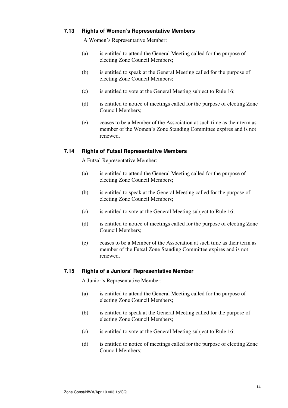#### **7.13 Rights of Women's Representative Members**

A Women's Representative Member:

- (a) is entitled to attend the General Meeting called for the purpose of electing Zone Council Members;
- (b) is entitled to speak at the General Meeting called for the purpose of electing Zone Council Members;
- (c) is entitled to vote at the General Meeting subject to Rule 16;
- (d) is entitled to notice of meetings called for the purpose of electing Zone Council Members;
- (e) ceases to be a Member of the Association at such time as their term as member of the Women's Zone Standing Committee expires and is not renewed.

#### **7.14 Rights of Futsal Representative Members**

A Futsal Representative Member:

- (a) is entitled to attend the General Meeting called for the purpose of electing Zone Council Members;
- (b) is entitled to speak at the General Meeting called for the purpose of electing Zone Council Members;
- (c) is entitled to vote at the General Meeting subject to Rule 16;
- (d) is entitled to notice of meetings called for the purpose of electing Zone Council Members;
- (e) ceases to be a Member of the Association at such time as their term as member of the Futsal Zone Standing Committee expires and is not renewed.

#### **7.15 Rights of a Juniors' Representative Member**

A Junior's Representative Member:

- (a) is entitled to attend the General Meeting called for the purpose of electing Zone Council Members;
- (b) is entitled to speak at the General Meeting called for the purpose of electing Zone Council Members;
- (c) is entitled to vote at the General Meeting subject to Rule 16;
- (d) is entitled to notice of meetings called for the purpose of electing Zone Council Members;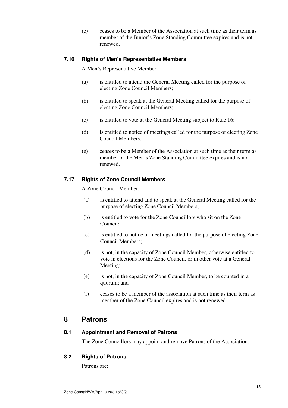(e) ceases to be a Member of the Association at such time as their term as member of the Junior's Zone Standing Committee expires and is not renewed.

#### **7.16 Rights of Men's Representative Members**

A Men's Representative Member:

- (a) is entitled to attend the General Meeting called for the purpose of electing Zone Council Members;
- (b) is entitled to speak at the General Meeting called for the purpose of electing Zone Council Members;
- (c) is entitled to vote at the General Meeting subject to Rule 16;
- (d) is entitled to notice of meetings called for the purpose of electing Zone Council Members;
- (e) ceases to be a Member of the Association at such time as their term as member of the Men's Zone Standing Committee expires and is not renewed.

#### **7.17 Rights of Zone Council Members**

A Zone Council Member:

- (a) is entitled to attend and to speak at the General Meeting called for the purpose of electing Zone Council Members;
- (b) is entitled to vote for the Zone Councillors who sit on the Zone Council;
- (c) is entitled to notice of meetings called for the purpose of electing Zone Council Members;
- (d) is not, in the capacity of Zone Council Member, otherwise entitled to vote in elections for the Zone Council, or in other vote at a General Meeting;
- (e) is not, in the capacity of Zone Council Member, to be counted in a quorum; and
- (f) ceases to be a member of the association at such time as their term as member of the Zone Council expires and is not renewed.

# **8 Patrons**

#### **8.1 Appointment and Removal of Patrons**

The Zone Councillors may appoint and remove Patrons of the Association.

#### **8.2 Rights of Patrons**

Patrons are: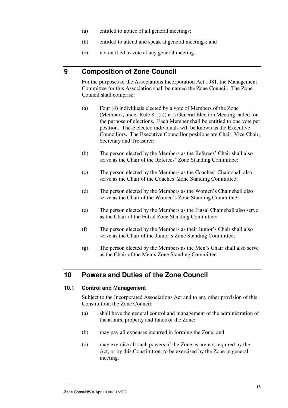- (a) entitled to notice of all general meetings;
- (b) entitled to attend and speak at general meetings; and
- (c) not entitled to vote at any general meeting.

# **9 Composition of Zone Council**

For the purposes of the Associations Incorporation Act 1981, the Management Committee for this Association shall be named the Zone Council. The Zone Council shall comprise:

- (a) Four (4) individuals elected by a vote of Members of the Zone (Members, under Rule 8.1(a)) at a General Election Meeting called for the purpose of elections. Each Member shall be entitled to one vote per position. These elected individuals will be known as the Executive Councillors. The Executive Councillor positions are Chair, Vice Chair, Secretary and Treasurer;
- (b) The person elected by the Members as the Referees' Chair shall also serve as the Chair of the Referees' Zone Standing Committee;
- (c) The person elected by the Members as the Coaches' Chair shall also serve as the Chair of the Coaches' Zone Standing Committee;
- (d) The person elected by the Members as the Women's Chair shall also serve as the Chair of the Women's Zone Standing Committee;
- (e) The person elected by the Members as the Futsal Chair shall also serve as the Chair of the Futsal Zone Standing Committee;
- (f) The person elected by the Members as their Junior's Chair shall also serve as the Chair of the Junior's Zone Standing Committee;
- (g) The person elected by the Members as the Men's Chair shall also serve as the Chair of the Men's Zone Standing Committee.

# **10 Powers and Duties of the Zone Council**

#### **10.1 Control and Management**

Subject to the Incorporated Associations Act and to any other provision of this Constitution, the Zone Council:

- (a) shall have the general control and management of the administration of the affairs, property and funds of the Zone;
- (b) may pay all expenses incurred in forming the Zone; and
- (c) may exercise all such powers of the Zone as are not required by the Act, or by this Constitution, to be exercised by the Zone in general meeting.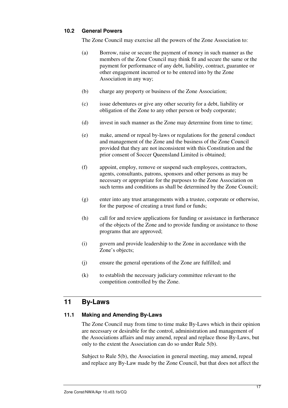#### **10.2 General Powers**

The Zone Council may exercise all the powers of the Zone Association to:

- (a) Borrow, raise or secure the payment of money in such manner as the members of the Zone Council may think fit and secure the same or the payment for performance of any debt, liability, contract, guarantee or other engagement incurred or to be entered into by the Zone Association in any way;
- (b) charge any property or business of the Zone Association;
- (c) issue debentures or give any other security for a debt, liability or obligation of the Zone to any other person or body corporate;
- (d) invest in such manner as the Zone may determine from time to time;
- (e) make, amend or repeal by-laws or regulations for the general conduct and management of the Zone and the business of the Zone Council provided that they are not inconsistent with this Constitution and the prior consent of Soccer Queensland Limited is obtained;
- (f) appoint, employ, remove or suspend such employees, contractors, agents, consultants, patrons, sponsors and other persons as may be necessary or appropriate for the purposes to the Zone Association on such terms and conditions as shall be determined by the Zone Council;
- (g) enter into any trust arrangements with a trustee, corporate or otherwise, for the purpose of creating a trust fund or funds;
- (h) call for and review applications for funding or assistance in furtherance of the objects of the Zone and to provide funding or assistance to those programs that are approved;
- (i) govern and provide leadership to the Zone in accordance with the Zone's objects;
- (j) ensure the general operations of the Zone are fulfilled; and
- (k) to establish the necessary judiciary committee relevant to the competition controlled by the Zone.

# **11 By-Laws**

#### **11.1 Making and Amending By-Laws**

The Zone Council may from time to time make By-Laws which in their opinion are necessary or desirable for the control, administration and management of the Associations affairs and may amend, repeal and replace those By-Laws, but only to the extent the Association can do so under Rule 5(b).

Subject to Rule 5(b), the Association in general meeting, may amend, repeal and replace any By-Law made by the Zone Council, but that does not affect the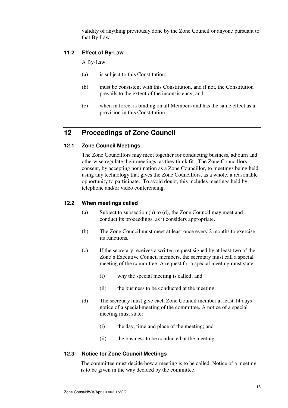validity of anything previously done by the Zone Council or anyone pursuant to that By-Law.

#### **11.2 Effect of By-Law**

A By-Law:

- (a) is subject to this Constitution;
- (b) must be consistent with this Constitution, and if not, the Constitution prevails to the extent of the inconsistency; and
- (c) when in force, is binding on all Members and has the same effect as a provision in this Constitution.

# **12 Proceedings of Zone Council**

#### **12.1 Zone Council Meetings**

The Zone Councillors may meet together for conducting business, adjourn and otherwise regulate their meetings, as they think fit. The Zone Councillors consent, by accepting nomination as a Zone Councillor, to meetings being held using any technology that gives the Zone Councillors, as a whole, a reasonable opportunity to participate. To avoid doubt, this includes meetings held by telephone and/or video conferencing.

#### **12.2 When meetings called**

- (a) Subject to subsection (b) to (d), the Zone Council may meet and conduct its proceedings, as it considers appropriate.
- (b) The Zone Council must meet at least once every 2 months to exercise its functions.
- (c) If the secretary receives a written request signed by at least two of the Zone's Executive Council members, the secretary must call a special meeting of the committee. A request for a special meeting must state—
	- (i) why the special meeting is called; and
	- (ii) the business to be conducted at the meeting.
- (d) The secretary must give each Zone Council member at least 14 days notice of a special meeting of the committee. A notice of a special meeting must state:
	- (i) the day, time and place of the meeting; and
	- (ii) the business to be conducted at the meeting.

#### **12.3 Notice for Zone Council Meetings**

The committee must decide how a meeting is to be called. Notice of a meeting is to be given in the way decided by the committee.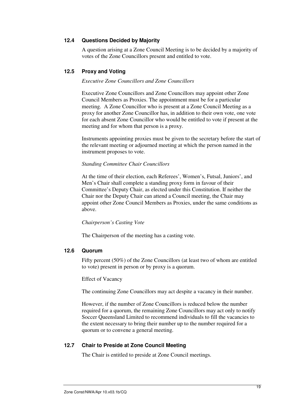#### **12.4 Questions Decided by Majority**

A question arising at a Zone Council Meeting is to be decided by a majority of votes of the Zone Councillors present and entitled to vote.

#### **12.5 Proxy and Voting**

#### *Executive Zone Councillors and Zone Councillors*

Executive Zone Councillors and Zone Councillors may appoint other Zone Council Members as Proxies. The appointment must be for a particular meeting. A Zone Councillor who is present at a Zone Council Meeting as a proxy for another Zone Councillor has, in addition to their own vote, one vote for each absent Zone Councillor who would be entitled to vote if present at the meeting and for whom that person is a proxy.

Instruments appointing proxies must be given to the secretary before the start of the relevant meeting or adjourned meeting at which the person named in the instrument proposes to vote.

#### *Standing Committee Chair Councillors*

At the time of their election, each Referees', Women's, Futsal, Juniors', and Men's Chair shall complete a standing proxy form in favour of their Committee's Deputy Chair, as elected under this Constitution. If neither the Chair nor the Deputy Chair can attend a Council meeting, the Chair may appoint other Zone Council Members as Proxies, under the same conditions as above.

#### *Chairperson's Casting Vote*

The Chairperson of the meeting has a casting vote.

#### **12.6 Quorum**

Fifty percent (50%) of the Zone Councillors (at least two of whom are entitled to vote) present in person or by proxy is a quorum.

Effect of Vacancy

The continuing Zone Councillors may act despite a vacancy in their number.

However, if the number of Zone Councillors is reduced below the number required for a quorum, the remaining Zone Councillors may act only to notify Soccer Queensland Limited to recommend individuals to fill the vacancies to the extent necessary to bring their number up to the number required for a quorum or to convene a general meeting.

#### **12.7 Chair to Preside at Zone Council Meeting**

The Chair is entitled to preside at Zone Council meetings.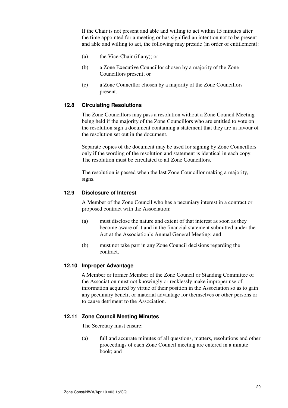If the Chair is not present and able and willing to act within 15 minutes after the time appointed for a meeting or has signified an intention not to be present and able and willing to act, the following may preside (in order of entitlement):

- (a) the Vice-Chair (if any); or
- (b) a Zone Executive Councillor chosen by a majority of the Zone Councillors present; or
- (c) a Zone Councillor chosen by a majority of the Zone Councillors present.

#### **12.8 Circulating Resolutions**

The Zone Councillors may pass a resolution without a Zone Council Meeting being held if the majority of the Zone Councillors who are entitled to vote on the resolution sign a document containing a statement that they are in favour of the resolution set out in the document.

Separate copies of the document may be used for signing by Zone Councillors only if the wording of the resolution and statement is identical in each copy. The resolution must be circulated to all Zone Councillors.

The resolution is passed when the last Zone Councillor making a majority, signs.

#### **12.9 Disclosure of Interest**

A Member of the Zone Council who has a pecuniary interest in a contract or proposed contract with the Association:

- (a) must disclose the nature and extent of that interest as soon as they become aware of it and in the financial statement submitted under the Act at the Association's Annual General Meeting; and
- (b) must not take part in any Zone Council decisions regarding the contract.

#### **12.10 Improper Advantage**

A Member or former Member of the Zone Council or Standing Committee of the Association must not knowingly or recklessly make improper use of information acquired by virtue of their position in the Association so as to gain any pecuniary benefit or material advantage for themselves or other persons or to cause detriment to the Association.

#### **12.11 Zone Council Meeting Minutes**

The Secretary must ensure:

(a) full and accurate minutes of all questions, matters, resolutions and other proceedings of each Zone Council meeting are entered in a minute book; and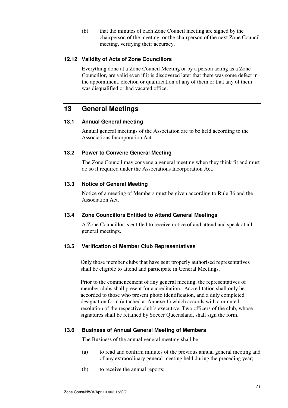(b) that the minutes of each Zone Council meeting are signed by the chairperson of the meeting, or the chairperson of the next Zone Council meeting, verifying their accuracy.

#### **12.12 Validity of Acts of Zone Councillors**

Everything done at a Zone Council Meeting or by a person acting as a Zone Councillor, are valid even if it is discovered later that there was some defect in the appointment, election or qualification of any of them or that any of them was disqualified or had vacated office.

# **13 General Meetings**

#### **13.1 Annual General meeting**

Annual general meetings of the Association are to be held according to the Associations Incorporation Act.

#### **13.2 Power to Convene General Meeting**

The Zone Council may convene a general meeting when they think fit and must do so if required under the Associations Incorporation Act.

#### **13.3 Notice of General Meeting**

Notice of a meeting of Members must be given according to Rule 36 and the Association Act.

#### **13.4 Zone Councillors Entitled to Attend General Meetings**

A Zone Councillor is entitled to receive notice of and attend and speak at all general meetings.

#### **13.5 Verification of Member Club Representatives**

Only those member clubs that have sent properly authorised representatives shall be eligible to attend and participate in General Meetings.

Prior to the commencement of any general meeting, the representatives of member clubs shall present for accreditation. Accreditation shall only be accorded to those who present photo identification, and a duly completed designation form (attached at Annexe 1) which accords with a minuted resolution of the respective club's executive. Two officers of the club, whose signatures shall be retained by Soccer Queensland, shall sign the form.

#### **13.6 Business of Annual General Meeting of Members**

The Business of the annual general meeting shall be:

- (a) to read and confirm minutes of the previous annual general meeting and of any extraordinary general meeting held during the preceding year;
- (b) to receive the annual reports;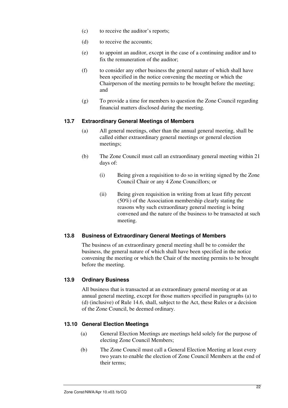- (c) to receive the auditor's reports;
- (d) to receive the accounts;
- (e) to appoint an auditor, except in the case of a continuing auditor and to fix the remuneration of the auditor;
- (f) to consider any other business the general nature of which shall have been specified in the notice convening the meeting or which the Chairperson of the meeting permits to be brought before the meeting; and
- (g) To provide a time for members to question the Zone Council regarding financial matters disclosed during the meeting.

#### **13.7 Extraordinary General Meetings of Members**

- (a) All general meetings, other than the annual general meeting, shall be called either extraordinary general meetings or general election meetings;
- (b) The Zone Council must call an extraordinary general meeting within 21 days of:
	- (i) Being given a requisition to do so in writing signed by the Zone Council Chair or any 4 Zone Councillors; or
	- (ii) Being given requisition in writing from at least fifty percent (50%) of the Association membership clearly stating the reasons why such extraordinary general meeting is being convened and the nature of the business to be transacted at such meeting.

#### **13.8 Business of Extraordinary General Meetings of Members**

The business of an extraordinary general meeting shall be to consider the business, the general nature of which shall have been specified in the notice convening the meeting or which the Chair of the meeting permits to be brought before the meeting.

#### **13.9 Ordinary Business**

All business that is transacted at an extraordinary general meeting or at an annual general meeting, except for those matters specified in paragraphs (a) to (d) (inclusive) of Rule 14.6, shall, subject to the Act, these Rules or a decision of the Zone Council, be deemed ordinary.

#### **13.10 General Election Meetings**

- (a) General Election Meetings are meetings held solely for the purpose of electing Zone Council Members;
- (b) The Zone Council must call a General Election Meeting at least every two years to enable the election of Zone Council Members at the end of their terms;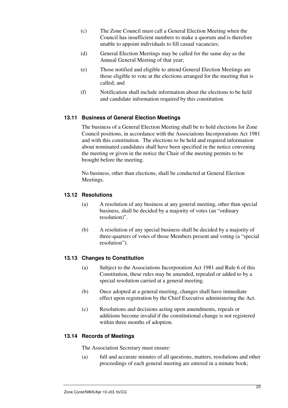- (c) The Zone Council must call a General Election Meeting when the Council has insufficient numbers to make a quorum and is therefore unable to appoint individuals to fill casual vacancies;
- (d) General Election Meetings may be called for the same day as the Annual General Meeting of that year;
- (e) Those notified and eligible to attend General Election Meetings are those eligible to vote at the elections arranged for the meeting that is called; and
- (f) Notification shall include information about the elections to be held and candidate information required by this constitution.

#### **13.11 Business of General Election Meetings**

The business of a General Election Meeting shall be to hold elections for Zone Council positions, in accordance with the Associations Incorporations Act 1981 and with this constitution. The elections to be held and required information about nominated candidates shall have been specified in the notice convening the meeting or given in the notice the Chair of the meeting permits to be brought before the meeting.

No business, other than elections, shall be conducted at General Election Meetings.

#### **13.12 Resolutions**

- (a) A resolution of any business at any general meeting, other than special business, shall be decided by a majority of votes (an "ordinary resolution)".
- (b) A resolution of any special business shall be decided by a majority of three-quarters of votes of those Members present and voting (a "special resolution").

#### **13.13 Changes to Constitution**

- (a) Subject to the Associations Incorporation Act 1981 and Rule 6 of this Constitution, these rules may be amended, repealed or added to by a special resolution carried at a general meeting.
- (b) Once adopted at a general meeting, changes shall have immediate effect upon registration by the Chief Executive administering the Act.
- (c) Resolutions and decisions acting upon amendments, repeals or additions become invalid if the constitutional change is not registered within three months of adoption.

#### **13.14 Records of Meetings**

The Association Secretary must ensure:

(a) full and accurate minutes of all questions, matters, resolutions and other proceedings of each general meeting are entered in a minute book;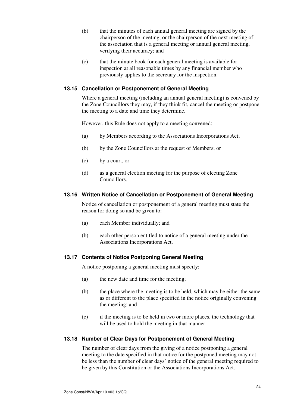- (b) that the minutes of each annual general meeting are signed by the chairperson of the meeting, or the chairperson of the next meeting of the association that is a general meeting or annual general meeting, verifying their accuracy; and
- (c) that the minute book for each general meeting is available for inspection at all reasonable times by any financial member who previously applies to the secretary for the inspection.

#### **13.15 Cancellation or Postponement of General Meeting**

Where a general meeting (including an annual general meeting) is convened by the Zone Councillors they may, if they think fit, cancel the meeting or postpone the meeting to a date and time they determine.

However, this Rule does not apply to a meeting convened:

- (a) by Members according to the Associations Incorporations Act;
- (b) by the Zone Councillors at the request of Members; or
- (c) by a court, or
- (d) as a general election meeting for the purpose of electing Zone Councillors.

#### **13.16 Written Notice of Cancellation or Postponement of General Meeting**

Notice of cancellation or postponement of a general meeting must state the reason for doing so and be given to:

- (a) each Member individually; and
- (b) each other person entitled to notice of a general meeting under the Associations Incorporations Act.

#### **13.17 Contents of Notice Postponing General Meeting**

A notice postponing a general meeting must specify:

- (a) the new date and time for the meeting;
- (b) the place where the meeting is to be held, which may be either the same as or different to the place specified in the notice originally convening the meeting; and
- (c) if the meeting is to be held in two or more places, the technology that will be used to hold the meeting in that manner.

#### **13.18 Number of Clear Days for Postponement of General Meeting**

The number of clear days from the giving of a notice postponing a general meeting to the date specified in that notice for the postponed meeting may not be less than the number of clear days' notice of the general meeting required to be given by this Constitution or the Associations Incorporations Act.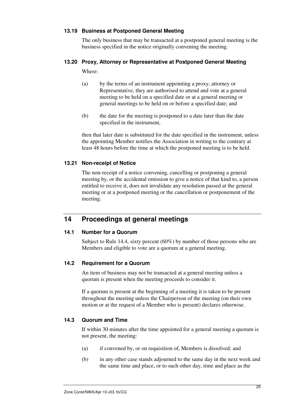#### **13.19 Business at Postponed General Meeting**

The only business that may be transacted at a postponed general meeting is the business specified in the notice originally convening the meeting.

#### **13.20 Proxy, Attorney or Representative at Postponed General Meeting**

Where:

- (a) by the terms of an instrument appointing a proxy, attorney or Representative, they are authorised to attend and vote at a general meeting to be held on a specified date or at a general meeting or general meetings to be held on or before a specified date; and
- (b) the date for the meeting is postponed to a date later than the date specified in the instrument,

then that later date is substituted for the date specified in the instrument, unless the appointing Member notifies the Association in writing to the contrary at least 48 hours before the time at which the postponed meeting is to be held.

#### **13.21 Non-receipt of Notice**

The non-receipt of a notice convening, cancelling or postponing a general meeting by, or the accidental omission to give a notice of that kind to, a person entitled to receive it, does not invalidate any resolution passed at the general meeting or at a postponed meeting or the cancellation or postponement of the meeting.

# **14 Proceedings at general meetings**

#### **14.1 Number for a Quorum**

Subject to Rule 14.4, sixty percent (60%) by number of those persons who are Members and eligible to vote are a quorum at a general meeting.

#### **14.2 Requirement for a Quorum**

An item of business may not be transacted at a general meeting unless a quorum is present when the meeting proceeds to consider it.

If a quorum is present at the beginning of a meeting it is taken to be present throughout the meeting unless the Chairperson of the meeting (on their own motion or at the request of a Member who is present) declares otherwise.

#### **14.3 Quorum and Time**

If within 30 minutes after the time appointed for a general meeting a quorum is not present, the meeting:

- (a) if convened by, or on requisition of, Members is dissolved; and
- (b) in any other case stands adjourned to the same day in the next week and the same time and place, or to such other day, time and place as the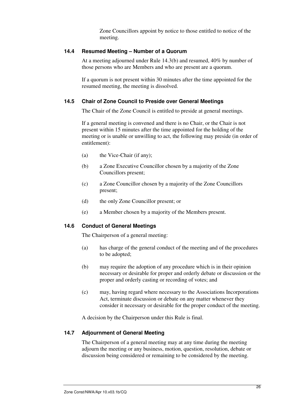Zone Councillors appoint by notice to those entitled to notice of the meeting.

#### **14.4 Resumed Meeting – Number of a Quorum**

At a meeting adjourned under Rule 14.3(b) and resumed, 40% by number of those persons who are Members and who are present are a quorum.

If a quorum is not present within 30 minutes after the time appointed for the resumed meeting, the meeting is dissolved.

#### **14.5 Chair of Zone Council to Preside over General Meetings**

The Chair of the Zone Council is entitled to preside at general meetings.

If a general meeting is convened and there is no Chair, or the Chair is not present within 15 minutes after the time appointed for the holding of the meeting or is unable or unwilling to act, the following may preside (in order of entitlement):

- (a) the Vice-Chair (if any);
- (b) a Zone Executive Councillor chosen by a majority of the Zone Councillors present;
- (c) a Zone Councillor chosen by a majority of the Zone Councillors present;
- (d) the only Zone Councillor present; or
- (e) a Member chosen by a majority of the Members present.

#### **14.6 Conduct of General Meetings**

The Chairperson of a general meeting:

- (a) has charge of the general conduct of the meeting and of the procedures to be adopted;
- (b) may require the adoption of any procedure which is in their opinion necessary or desirable for proper and orderly debate or discussion or the proper and orderly casting or recording of votes; and
- (c) may, having regard where necessary to the Associations Incorporations Act, terminate discussion or debate on any matter whenever they consider it necessary or desirable for the proper conduct of the meeting.

A decision by the Chairperson under this Rule is final.

#### **14.7 Adjournment of General Meeting**

The Chairperson of a general meeting may at any time during the meeting adjourn the meeting or any business, motion, question, resolution, debate or discussion being considered or remaining to be considered by the meeting.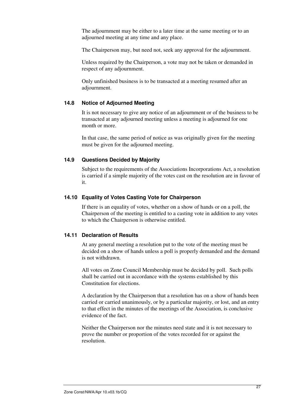The adjournment may be either to a later time at the same meeting or to an adjourned meeting at any time and any place.

The Chairperson may, but need not, seek any approval for the adjournment.

Unless required by the Chairperson, a vote may not be taken or demanded in respect of any adjournment.

Only unfinished business is to be transacted at a meeting resumed after an adjournment.

#### **14.8 Notice of Adjourned Meeting**

It is not necessary to give any notice of an adjournment or of the business to be transacted at any adjourned meeting unless a meeting is adjourned for one month or more.

In that case, the same period of notice as was originally given for the meeting must be given for the adjourned meeting.

#### **14.9 Questions Decided by Majority**

Subject to the requirements of the Associations Incorporations Act, a resolution is carried if a simple majority of the votes cast on the resolution are in favour of it.

#### **14.10 Equality of Votes Casting Vote for Chairperson**

If there is an equality of votes, whether on a show of hands or on a poll, the Chairperson of the meeting is entitled to a casting vote in addition to any votes to which the Chairperson is otherwise entitled.

#### **14.11 Declaration of Results**

At any general meeting a resolution put to the vote of the meeting must be decided on a show of hands unless a poll is properly demanded and the demand is not withdrawn.

All votes on Zone Council Membership must be decided by poll. Such polls shall be carried out in accordance with the systems established by this Constitution for elections.

A declaration by the Chairperson that a resolution has on a show of hands been carried or carried unanimously, or by a particular majority, or lost, and an entry to that effect in the minutes of the meetings of the Association, is conclusive evidence of the fact.

Neither the Chairperson nor the minutes need state and it is not necessary to prove the number or proportion of the votes recorded for or against the resolution.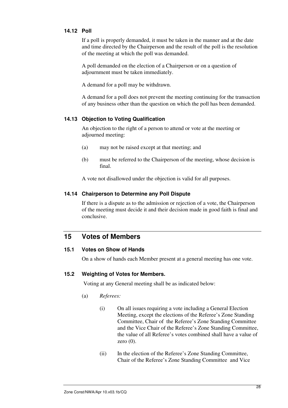#### **14.12 Poll**

If a poll is properly demanded, it must be taken in the manner and at the date and time directed by the Chairperson and the result of the poll is the resolution of the meeting at which the poll was demanded.

A poll demanded on the election of a Chairperson or on a question of adjournment must be taken immediately.

A demand for a poll may be withdrawn.

A demand for a poll does not prevent the meeting continuing for the transaction of any business other than the question on which the poll has been demanded.

#### **14.13 Objection to Voting Qualification**

An objection to the right of a person to attend or vote at the meeting or adjourned meeting:

- (a) may not be raised except at that meeting; and
- (b) must be referred to the Chairperson of the meeting, whose decision is final.

A vote not disallowed under the objection is valid for all purposes.

#### **14.14 Chairperson to Determine any Poll Dispute**

If there is a dispute as to the admission or rejection of a vote, the Chairperson of the meeting must decide it and their decision made in good faith is final and conclusive.

# **15 Votes of Members**

#### **15.1 Votes on Show of Hands**

On a show of hands each Member present at a general meeting has one vote.

#### **15.2 Weighting of Votes for Members.**

Voting at any General meeting shall be as indicated below:

- (a) *Referees:* 
	- (i) On all issues requiring a vote including a General Election Meeting, except the elections of the Referee's Zone Standing Committee, Chair of the Referee's Zone Standing Committee and the Vice Chair of the Referee's Zone Standing Committee, the value of all Referee's votes combined shall have a value of zero  $(0)$ .
	- (ii) In the election of the Referee's Zone Standing Committee, Chair of the Referee's Zone Standing Committee and Vice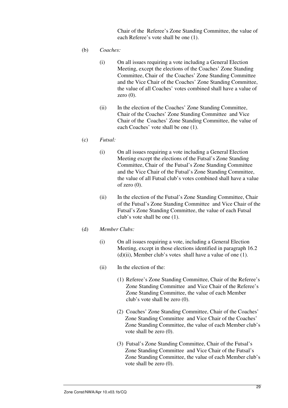Chair of the Referee's Zone Standing Committee, the value of each Referee's vote shall be one (1).

- (b) *Coaches:* 
	- (i) On all issues requiring a vote including a General Election Meeting, except the elections of the Coaches' Zone Standing Committee, Chair of the Coaches' Zone Standing Committee and the Vice Chair of the Coaches' Zone Standing Committee, the value of all Coaches' votes combined shall have a value of zero (0).
	- (ii) In the election of the Coaches' Zone Standing Committee, Chair of the Coaches' Zone Standing Committee and Vice Chair of the Coaches' Zone Standing Committee, the value of each Coaches' vote shall be one (1).

#### (c) *Futsal:*

- (i) On all issues requiring a vote including a General Election Meeting except the elections of the Futsal's Zone Standing Committee, Chair of the Futsal's Zone Standing Committee and the Vice Chair of the Futsal's Zone Standing Committee, the value of all Futsal club's votes combined shall have a value of zero  $(0)$ .
- (ii) In the election of the Futsal's Zone Standing Committee, Chair of the Futsal's Zone Standing Committee and Vice Chair of the Futsal's Zone Standing Committee, the value of each Futsal club's vote shall be one (1).

#### (d) *Member Clubs:*

- (i) On all issues requiring a vote, including a General Election Meeting, except in those elections identified in paragraph 16.2  $(d)(ii)$ , Member club's votes shall have a value of one  $(1)$ .
- (ii) In the election of the:
	- (1) Referee's Zone Standing Committee, Chair of the Referee's Zone Standing Committee and Vice Chair of the Referee's Zone Standing Committee, the value of each Member club's vote shall be zero (0).
	- (2) Coaches' Zone Standing Committee, Chair of the Coaches' Zone Standing Committee and Vice Chair of the Coaches' Zone Standing Committee, the value of each Member club's vote shall be zero (0).
	- (3) Futsal's Zone Standing Committee, Chair of the Futsal's Zone Standing Committee and Vice Chair of the Futsal's Zone Standing Committee, the value of each Member club's vote shall be zero (0).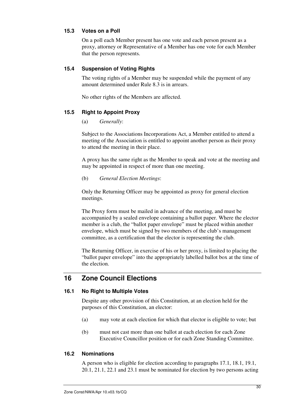#### **15.3 Votes on a Poll**

On a poll each Member present has one vote and each person present as a proxy, attorney or Representative of a Member has one vote for each Member that the person represents.

#### **15.4 Suspension of Voting Rights**

The voting rights of a Member may be suspended while the payment of any amount determined under Rule 8.3 is in arrears.

No other rights of the Members are affected.

#### **15.5 Right to Appoint Proxy**

#### (a) *Generally*:

Subject to the Associations Incorporations Act, a Member entitled to attend a meeting of the Association is entitled to appoint another person as their proxy to attend the meeting in their place.

A proxy has the same right as the Member to speak and vote at the meeting and may be appointed in respect of more than one meeting.

#### (b) *General Election Meetings*:

Only the Returning Officer may be appointed as proxy for general election meetings.

The Proxy form must be mailed in advance of the meeting, and must be accompanied by a sealed envelope containing a ballot paper. Where the elector member is a club, the "ballot paper envelope" must be placed within another envelope, which must be signed by two members of the club's management committee, as a certification that the elector is representing the club.

The Returning Officer, in exercise of his or her proxy, is limited to placing the "ballot paper envelope" into the appropriately labelled ballot box at the time of the election.

# **16 Zone Council Elections**

#### **16.1 No Right to Multiple Votes**

Despite any other provision of this Constitution, at an election held for the purposes of this Constitution, an elector:

- (a) may vote at each election for which that elector is eligible to vote; but
- (b) must not cast more than one ballot at each election for each Zone Executive Councillor position or for each Zone Standing Committee.

#### **16.2 Nominations**

A person who is eligible for election according to paragraphs 17.1, 18.1, 19.1, 20.1, 21.1, 22.1 and 23.1 must be nominated for election by two persons acting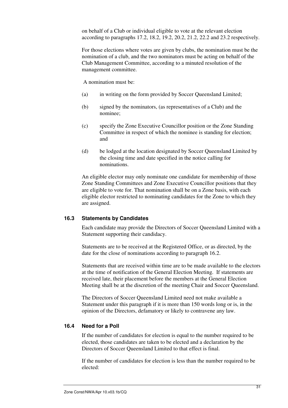on behalf of a Club or individual eligible to vote at the relevant election according to paragraphs 17.2, 18.2, 19.2, 20.2, 21.2, 22.2 and 23.2 respectively.

For those elections where votes are given by clubs, the nomination must be the nomination of a club, and the two nominators must be acting on behalf of the Club Management Committee, according to a minuted resolution of the management committee.

A nomination must be:

- (a) in writing on the form provided by Soccer Queensland Limited;
- (b) signed by the nominators, (as representatives of a Club) and the nominee;
- (c) specify the Zone Executive Councillor position or the Zone Standing Committee in respect of which the nominee is standing for election; and
- (d) be lodged at the location designated by Soccer Queensland Limited by the closing time and date specified in the notice calling for nominations.

An eligible elector may only nominate one candidate for membership of those Zone Standing Committees and Zone Executive Councillor positions that they are eligible to vote for. That nomination shall be on a Zone basis, with each eligible elector restricted to nominating candidates for the Zone to which they are assigned.

#### **16.3 Statements by Candidates**

Each candidate may provide the Directors of Soccer Queensland Limited with a Statement supporting their candidacy.

Statements are to be received at the Registered Office, or as directed, by the date for the close of nominations according to paragraph 16.2.

Statements that are received within time are to be made available to the electors at the time of notification of the General Election Meeting. If statements are received late, their placement before the members at the General Election Meeting shall be at the discretion of the meeting Chair and Soccer Queensland.

The Directors of Soccer Queensland Limited need not make available a Statement under this paragraph if it is more than 150 words long or is, in the opinion of the Directors, defamatory or likely to contravene any law.

#### **16.4 Need for a Poll**

If the number of candidates for election is equal to the number required to be elected, those candidates are taken to be elected and a declaration by the Directors of Soccer Queensland Limited to that effect is final.

If the number of candidates for election is less than the number required to be elected: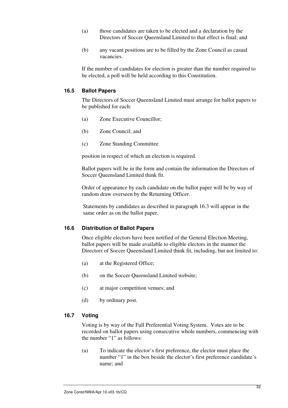- (a) those candidates are taken to be elected and a declaration by the Directors of Soccer Queensland Limited to that effect is final; and
- (b) any vacant positions are to be filled by the Zone Council as casual vacancies.

If the number of candidates for election is greater than the number required to be elected, a poll will be held according to this Constitution.

#### **16.5 Ballot Papers**

The Directors of Soccer Queensland Limited must arrange for ballot papers to be published for each:

- (a) Zone Executive Councillor;
- (b) Zone Council; and
- (c) Zone Standing Committee

position in respect of which an election is required.

Ballot papers will be in the form and contain the information the Directors of Soccer Queensland Limited think fit.

Order of appearance by each candidate on the ballot paper will be by way of random draw overseen by the Returning Officer.

Statements by candidates as described in paragraph 16.3 will appear in the same order as on the ballot paper.

#### **16.6 Distribution of Ballot Papers**

Once eligible electors have been notified of the General Election Meeting, ballot papers will be made available to eligible electors in the manner the Directors of Soccer Queensland Limited think fit, including, but not limited to:

- (a) at the Registered Office;
- (b) on the Soccer Queensland Limited website;
- (c) at major competition venues; and
- (d) by ordinary post.

#### **16.7 Voting**

Voting is by way of the Full Preferential Voting System. Votes are to be recorded on ballot papers using consecutive whole numbers, commencing with the number "1" as follows:

(a) To indicate the elector's first preference, the elector must place the number "1" in the box beside the elector's first preference candidate's name; and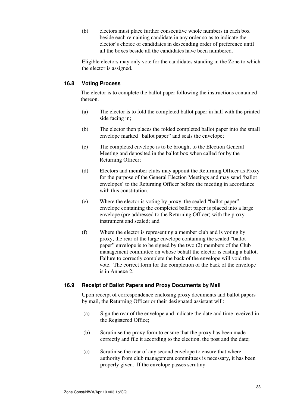(b) electors must place further consecutive whole numbers in each box beside each remaining candidate in any order so as to indicate the elector's choice of candidates in descending order of preference until all the boxes beside all the candidates have been numbered.

Eligible electors may only vote for the candidates standing in the Zone to which the elector is assigned.

#### **16.8 Voting Process**

The elector is to complete the ballot paper following the instructions contained thereon.

- (a) The elector is to fold the completed ballot paper in half with the printed side facing in;
- (b) The elector then places the folded completed ballot paper into the small envelope marked "ballot paper" and seals the envelope;
- (c) The completed envelope is to be brought to the Election General Meeting and deposited in the ballot box when called for by the Returning Officer;
- (d) Electors and member clubs may appoint the Returning Officer as Proxy for the purpose of the General Election Meetings and may send 'ballot envelopes' to the Returning Officer before the meeting in accordance with this constitution.
- (e) Where the elector is voting by proxy, the sealed "ballot paper" envelope containing the completed ballot paper is placed into a large envelope (pre addressed to the Returning Officer) with the proxy instrument and sealed; and
- (f) Where the elector is representing a member club and is voting by proxy, the rear of the large envelope containing the sealed "ballot paper" envelope is to be signed by the two (2) members of the Club management committee on whose behalf the elector is casting a ballot. Failure to correctly complete the back of the envelope will void the vote. The correct form for the completion of the back of the envelope is in Annexe 2.

#### **16.9 Receipt of Ballot Papers and Proxy Documents by Mail**

Upon receipt of correspondence enclosing proxy documents and ballot papers by mail, the Returning Officer or their designated assistant will:

- (a) Sign the rear of the envelope and indicate the date and time received in the Registered Office;
- (b) Scrutinise the proxy form to ensure that the proxy has been made correctly and file it according to the election, the post and the date;
- (c) Scrutinise the rear of any second envelope to ensure that where authority from club management committees is necessary, it has been properly given. If the envelope passes scrutiny: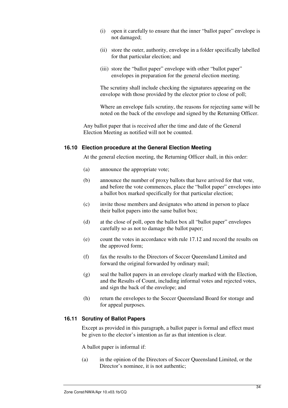- (i) open it carefully to ensure that the inner "ballot paper" envelope is not damaged;
- (ii) store the outer, authority, envelope in a folder specifically labelled for that particular election; and
- (iii) store the "ballot paper" envelope with other "ballot paper" envelopes in preparation for the general election meeting.

The scrutiny shall include checking the signatures appearing on the envelope with those provided by the elector prior to close of poll;

Where an envelope fails scrutiny, the reasons for rejecting same will be noted on the back of the envelope and signed by the Returning Officer.

Any ballot paper that is received after the time and date of the General Election Meeting as notified will not be counted.

#### **16.10 Election procedure at the General Election Meeting**

At the general election meeting, the Returning Officer shall, in this order:

- (a) announce the appropriate vote;
- (b) announce the number of proxy ballots that have arrived for that vote, and before the vote commences, place the "ballot paper" envelopes into a ballot box marked specifically for that particular election;
- (c) invite those members and designates who attend in person to place their ballot papers into the same ballot box;
- (d) at the close of poll, open the ballot box all "ballot paper" envelopes carefully so as not to damage the ballot paper;
- (e) count the votes in accordance with rule 17.12 and record the results on the approved form;
- (f) fax the results to the Directors of Soccer Queensland Limited and forward the original forwarded by ordinary mail;
- (g) seal the ballot papers in an envelope clearly marked with the Election, and the Results of Count, including informal votes and rejected votes, and sign the back of the envelope; and
- (h) return the envelopes to the Soccer Queensland Board for storage and for appeal purposes.

#### **16.11 Scrutiny of Ballot Papers**

Except as provided in this paragraph, a ballot paper is formal and effect must be given to the elector's intention as far as that intention is clear.

A ballot paper is informal if:

(a) in the opinion of the Directors of Soccer Queensland Limited, or the Director's nominee, it is not authentic: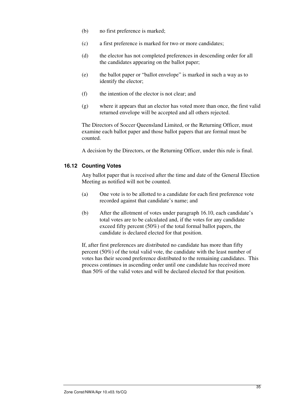- (b) no first preference is marked;
- (c) a first preference is marked for two or more candidates;
- (d) the elector has not completed preferences in descending order for all the candidates appearing on the ballot paper;
- (e) the ballot paper or "ballot envelope" is marked in such a way as to identify the elector;
- (f) the intention of the elector is not clear; and
- (g) where it appears that an elector has voted more than once, the first valid returned envelope will be accepted and all others rejected.

The Directors of Soccer Queensland Limited, or the Returning Officer, must examine each ballot paper and those ballot papers that are formal must be counted.

A decision by the Directors, or the Returning Officer, under this rule is final.

#### **16.12 Counting Votes**

Any ballot paper that is received after the time and date of the General Election Meeting as notified will not be counted.

- (a) One vote is to be allotted to a candidate for each first preference vote recorded against that candidate's name; and
- (b) After the allotment of votes under paragraph 16.10, each candidate's total votes are to be calculated and, if the votes for any candidate exceed fifty percent (50%) of the total formal ballot papers, the candidate is declared elected for that position.

If, after first preferences are distributed no candidate has more than fifty percent (50%) of the total valid vote, the candidate with the least number of votes has their second preference distributed to the remaining candidates. This process continues in ascending order until one candidate has received more than 50% of the valid votes and will be declared elected for that position.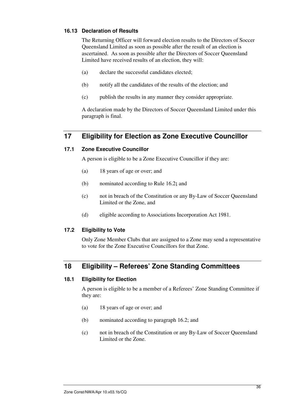#### **16.13 Declaration of Results**

The Returning Officer will forward election results to the Directors of Soccer Queensland Limited as soon as possible after the result of an election is ascertained. As soon as possible after the Directors of Soccer Queensland Limited have received results of an election, they will:

- (a) declare the successful candidates elected;
- (b) notify all the candidates of the results of the election; and
- (c) publish the results in any manner they consider appropriate.

A declaration made by the Directors of Soccer Queensland Limited under this paragraph is final.

# **17 Eligibility for Election as Zone Executive Councillor**

#### **17.1 Zone Executive Councillor**

A person is eligible to be a Zone Executive Councillor if they are:

- (a) 18 years of age or over; and
- (b) nominated according to Rule 16.2**;** and
- (c) not in breach of the Constitution or any By-Law of Soccer Queensland Limited or the Zone, and
- (d) eligible according to Associations Incorporation Act 1981.

#### **17.2 Eligibility to Vote**

Only Zone Member Clubs that are assigned to a Zone may send a representative to vote for the Zone Executive Councillors for that Zone.

# **18 Eligibility – Referees' Zone Standing Committees**

#### **18.1 Eligibility for Election**

A person is eligible to be a member of a Referees' Zone Standing Committee if they are:

- (a) 18 years of age or over; and
- (b) nominated according to paragraph 16.2; and
- (c) not in breach of the Constitution or any By-Law of Soccer Queensland Limited or the Zone.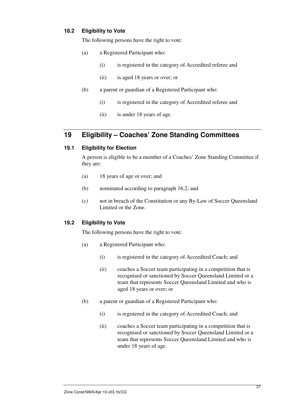#### **18.2 Eligibility to Vote**

The following persons have the right to vote:

- (a) a Registered Participant who:
	- (i) is registered in the category of Accredited referee and
	- (ii) is aged 18 years or over; or
- (b) a parent or guardian of a Registered Participant who:
	- (i) is registered in the category of Accredited referee and
	- (ii) is under 18 years of age.

# **19 Eligibility – Coaches' Zone Standing Committees**

#### **19.1 Eligibility for Election**

A person is eligible to be a member of a Coaches' Zone Standing Committee if they are:

- (a) 18 years of age or over; and
- (b) nominated according to paragraph 16.2; and
- (c) not in breach of the Constitution or any By-Law of Soccer Queensland Limited or the Zone.

#### **19.2 Eligibility to Vote**

The following persons have the right to vote:

- (a) a Registered Participant who:
	- (i) is registered in the category of Accredited Coach; and
	- (ii) coaches a Soccer team participating in a competition that is recognised or sanctioned by Soccer Queensland Limited or a team that represents Soccer Queensland Limited and who is aged 18 years or over; or
- (b) a parent or guardian of a Registered Participant who:
	- (i) is registered in the category of Accredited Coach; and
	- (ii) coaches a Soccer team participating in a competition that is recognised or sanctioned by Soccer Queensland Limited or a team that represents Soccer Queensland Limited and who is under 18 years of age.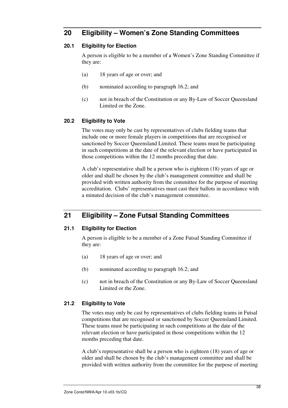# **20 Eligibility – Women's Zone Standing Committees**

#### **20.1 Eligibility for Election**

A person is eligible to be a member of a Women's Zone Standing Committee if they are:

- (a) 18 years of age or over; and
- (b) nominated according to paragraph 16.2; and
- (c) not in breach of the Constitution or any By-Law of Soccer Queensland Limited or the Zone.

#### **20.2 Eligibility to Vote**

The votes may only be cast by representatives of clubs fielding teams that include one or more female players in competitions that are recognised or sanctioned by Soccer Queensland Limited. These teams must be participating in such competitions at the date of the relevant election or have participated in those competitions within the 12 months preceding that date.

A club's representative shall be a person who is eighteen (18) years of age or older and shall be chosen by the club's management committee and shall be provided with written authority from the committee for the purpose of meeting accreditation. Clubs' representatives must cast their ballots in accordance with a minuted decision of the club's management committee.

# **21 Eligibility – Zone Futsal Standing Committees**

#### **21.1 Eligibility for Election**

A person is eligible to be a member of a Zone Futsal Standing Committee if they are:

- (a) 18 years of age or over; and
- (b) nominated according to paragraph 16.2; and
- (c) not in breach of the Constitution or any By-Law of Soccer Queensland Limited or the Zone.

#### **21.2 Eligibility to Vote**

The votes may only be cast by representatives of clubs fielding teams in Futsal competitions that are recognised or sanctioned by Soccer Queensland Limited. These teams must be participating in such competitions at the date of the relevant election or have participated in those competitions within the 12 months preceding that date.

A club's representative shall be a person who is eighteen (18) years of age or older and shall be chosen by the club's management committee and shall be provided with written authority from the committee for the purpose of meeting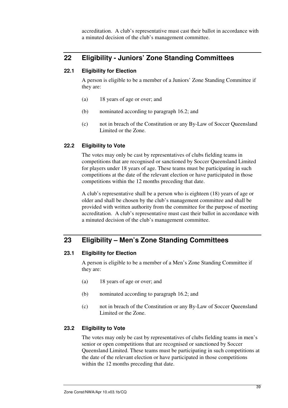accreditation. A club's representative must cast their ballot in accordance with a minuted decision of the club's management committee.

# **22 Eligibility - Juniors' Zone Standing Committees**

#### **22.1 Eligibility for Election**

A person is eligible to be a member of a Juniors' Zone Standing Committee if they are:

- (a) 18 years of age or over; and
- (b) nominated according to paragraph 16.2; and
- (c) not in breach of the Constitution or any By-Law of Soccer Queensland Limited or the Zone.

#### **22.2 Eligibility to Vote**

The votes may only be cast by representatives of clubs fielding teams in competitions that are recognised or sanctioned by Soccer Queensland Limited for players under 18 years of age. These teams must be participating in such competitions at the date of the relevant election or have participated in those competitions within the 12 months preceding that date.

A club's representative shall be a person who is eighteen (18) years of age or older and shall be chosen by the club's management committee and shall be provided with written authority from the committee for the purpose of meeting accreditation. A club's representative must cast their ballot in accordance with a minuted decision of the club's management committee.

# **23 Eligibility – Men's Zone Standing Committees**

#### **23.1 Eligibility for Election**

A person is eligible to be a member of a Men's Zone Standing Committee if they are:

- (a) 18 years of age or over; and
- (b) nominated according to paragraph 16.2; and
- (c) not in breach of the Constitution or any By-Law of Soccer Queensland Limited or the Zone.

#### **23.2 Eligibility to Vote**

The votes may only be cast by representatives of clubs fielding teams in men's senior or open competitions that are recognised or sanctioned by Soccer Queensland Limited. These teams must be participating in such competitions at the date of the relevant election or have participated in those competitions within the 12 months preceding that date.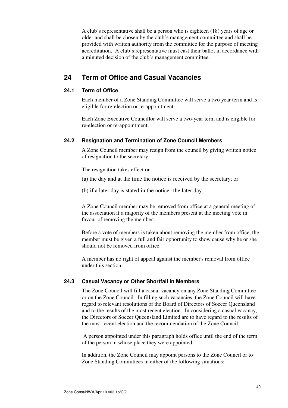A club's representative shall be a person who is eighteen (18) years of age or older and shall be chosen by the club's management committee and shall be provided with written authority from the committee for the purpose of meeting accreditation. A club's representative must cast their ballot in accordance with a minuted decision of the club's management committee.

# **24 Term of Office and Casual Vacancies**

#### **24.1 Term of Office**

Each member of a Zone Standing Committee will serve a two year term and is eligible for re-election or re-appointment.

Each Zone Executive Councillor will serve a two-year term and is eligible for re-election or re-appointment.

#### **24.2 Resignation and Termination of Zone Council Members**

A Zone Council member may resign from the council by giving written notice of resignation to the secretary.

The resignation takes effect on--

- (a) the day and at the time the notice is received by the secretary; or
- (b) if a later day is stated in the notice--the later day.

A Zone Council member may be removed from office at a general meeting of the association if a majority of the members present at the meeting vote in favour of removing the member.

Before a vote of members is taken about removing the member from office, the member must be given a full and fair opportunity to show cause why he or she should not be removed from office.

A member has no right of appeal against the member's removal from office under this section.

#### **24.3 Casual Vacancy or Other Shortfall in Members**

The Zone Council will fill a casual vacancy on any Zone Standing Committee or on the Zone Council. In filling such vacancies, the Zone Council will have regard to relevant resolutions of the Board of Directors of Soccer Queensland and to the results of the most recent election. In considering a casual vacancy, the Directors of Soccer Queensland Limited are to have regard to the results of the most recent election and the recommendation of the Zone Council.

 A person appointed under this paragraph holds office until the end of the term of the person in whose place they were appointed.

In addition, the Zone Council may appoint persons to the Zone Council or to Zone Standing Committees in either of the following situations: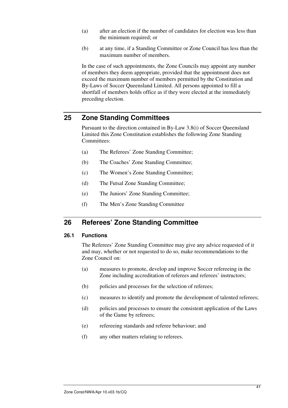- (a) after an election if the number of candidates for election was less than the minimum required; or
- (b) at any time, if a Standing Committee or Zone Council has less than the maximum number of members.

In the case of such appointments, the Zone Councils may appoint any number of members they deem appropriate, provided that the appointment does not exceed the maximum number of members permitted by the Constitution and By-Laws of Soccer Queensland Limited. All persons appointed to fill a shortfall of members holds office as if they were elected at the immediately preceding election.

# **25 Zone Standing Committees**

Pursuant to the direction contained in By-Law 3.8(i) of Soccer Queensland Limited this Zone Constitution establishes the following Zone Standing Committees:

- (a) The Referees' Zone Standing Committee;
- (b) The Coaches' Zone Standing Committee;
- (c) The Women's Zone Standing Committee;
- (d) The Futsal Zone Standing Committee;
- (e) The Juniors' Zone Standing Committee;
- (f) The Men's Zone Standing Committee

# **26 Referees' Zone Standing Committee**

#### **26.1 Functions**

The Referees' Zone Standing Committee may give any advice requested of it and may, whether or not requested to do so, make recommendations to the Zone Council on:

- (a) measures to promote, develop and improve Soccer refereeing in the Zone including accreditation of referees and referees' instructors;
- (b) policies and processes for the selection of referees;
- (c) measures to identify and promote the development of talented referees;
- (d) policies and processes to ensure the consistent application of the Laws of the Game by referees;
- (e) refereeing standards and referee behaviour; and
- (f) any other matters relating to referees.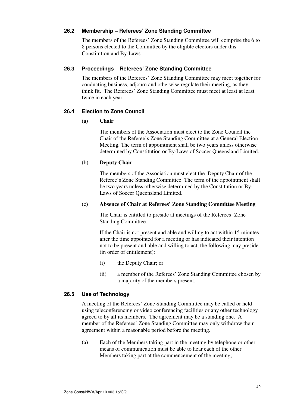#### **26.2 Membership – Referees' Zone Standing Committee**

The members of the Referees' Zone Standing Committee will comprise the 6 to 8 persons elected to the Committee by the eligible electors under this Constitution and By-Laws.

#### **26.3 Proceedings – Referees' Zone Standing Committee**

The members of the Referees' Zone Standing Committee may meet together for conducting business, adjourn and otherwise regulate their meeting, as they think fit. The Referees' Zone Standing Committee must meet at least at least twice in each year.

#### **26.4 Election to Zone Council**

#### (a) **Chair**

The members of the Association must elect to the Zone Council the Chair of the Referee's Zone Standing Committee at a General Election Meeting. The term of appointment shall be two years unless otherwise determined by Constitution or By-Laws of Soccer Queensland Limited.

#### (b) **Deputy Chair**

The members of the Association must elect the Deputy Chair of the Referee's Zone Standing Committee. The term of the appointment shall be two years unless otherwise determined by the Constitution or By-Laws of Soccer Queensland Limited.

#### (c) **Absence of Chair at Referees' Zone Standing Committee Meeting**

The Chair is entitled to preside at meetings of the Referees' Zone Standing Committee.

If the Chair is not present and able and willing to act within 15 minutes after the time appointed for a meeting or has indicated their intention not to be present and able and willing to act, the following may preside (in order of entitlement):

- (i) the Deputy Chair; or
- (ii) a member of the Referees' Zone Standing Committee chosen by a majority of the members present.

#### **26.5 Use of Technology**

A meeting of the Referees' Zone Standing Committee may be called or held using teleconferencing or video conferencing facilities or any other technology agreed to by all its members. The agreement may be a standing one. A member of the Referees' Zone Standing Committee may only withdraw their agreement within a reasonable period before the meeting.

(a) Each of the Members taking part in the meeting by telephone or other means of communication must be able to hear each of the other Members taking part at the commencement of the meeting;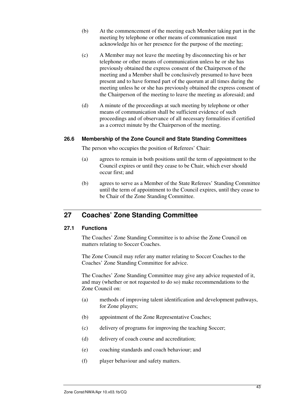- (b) At the commencement of the meeting each Member taking part in the meeting by telephone or other means of communication must acknowledge his or her presence for the purpose of the meeting;
- (c) A Member may not leave the meeting by disconnecting his or her telephone or other means of communication unless he or she has previously obtained the express consent of the Chairperson of the meeting and a Member shall be conclusively presumed to have been present and to have formed part of the quorum at all times during the meeting unless he or she has previously obtained the express consent of the Chairperson of the meeting to leave the meeting as aforesaid; and
- (d) A minute of the proceedings at such meeting by telephone or other means of communication shall be sufficient evidence of such proceedings and of observance of all necessary formalities if certified as a correct minute by the Chairperson of the meeting.

#### **26.6 Membership of the Zone Council and State Standing Committees**

The person who occupies the position of Referees' Chair:

- (a) agrees to remain in both positions until the term of appointment to the Council expires or until they cease to be Chair, which ever should occur first; and
- (b) agrees to serve as a Member of the State Referees' Standing Committee until the term of appointment to the Council expires, until they cease to be Chair of the Zone Standing Committee.

# **27 Coaches' Zone Standing Committee**

#### **27.1 Functions**

The Coaches' Zone Standing Committee is to advise the Zone Council on matters relating to Soccer Coaches.

The Zone Council may refer any matter relating to Soccer Coaches to the Coaches' Zone Standing Committee for advice.

The Coaches' Zone Standing Committee may give any advice requested of it, and may (whether or not requested to do so) make recommendations to the Zone Council on:

- (a) methods of improving talent identification and development pathways, for Zone players;
- (b) appointment of the Zone Representative Coaches;
- (c) delivery of programs for improving the teaching Soccer;
- (d) delivery of coach course and accreditation;
- (e) coaching standards and coach behaviour; and
- (f) player behaviour and safety matters.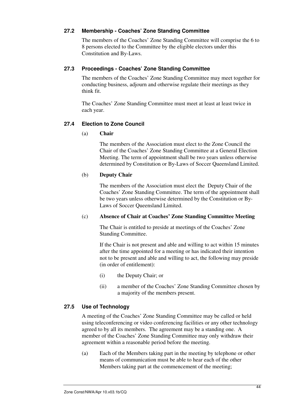#### **27.2 Membership - Coaches' Zone Standing Committee**

The members of the Coaches' Zone Standing Committee will comprise the 6 to 8 persons elected to the Committee by the eligible electors under this Constitution and By-Laws.

#### **27.3 Proceedings - Coaches' Zone Standing Committee**

The members of the Coaches' Zone Standing Committee may meet together for conducting business, adjourn and otherwise regulate their meetings as they think fit.

The Coaches' Zone Standing Committee must meet at least at least twice in each year.

#### **27.4 Election to Zone Council**

#### (a) **Chair**

The members of the Association must elect to the Zone Council the Chair of the Coaches' Zone Standing Committee at a General Election Meeting. The term of appointment shall be two years unless otherwise determined by Constitution or By-Laws of Soccer Queensland Limited.

#### (b) **Deputy Chair**

The members of the Association must elect the Deputy Chair of the Coaches' Zone Standing Committee. The term of the appointment shall be two years unless otherwise determined by the Constitution or By-Laws of Soccer Queensland Limited.

#### (c) **Absence of Chair at Coaches' Zone Standing Committee Meeting**

The Chair is entitled to preside at meetings of the Coaches' Zone Standing Committee.

If the Chair is not present and able and willing to act within 15 minutes after the time appointed for a meeting or has indicated their intention not to be present and able and willing to act, the following may preside (in order of entitlement):

- (i) the Deputy Chair; or
- (ii) a member of the Coaches' Zone Standing Committee chosen by a majority of the members present.

#### **27.5 Use of Technology**

A meeting of the Coaches' Zone Standing Committee may be called or held using teleconferencing or video conferencing facilities or any other technology agreed to by all its members. The agreement may be a standing one. A member of the Coaches' Zone Standing Committee may only withdraw their agreement within a reasonable period before the meeting.

(a) Each of the Members taking part in the meeting by telephone or other means of communication must be able to hear each of the other Members taking part at the commencement of the meeting;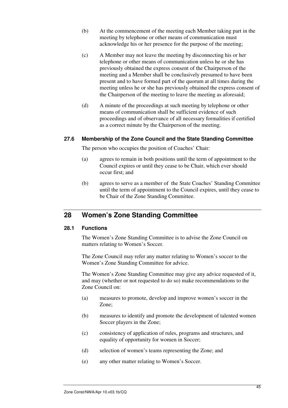- (b) At the commencement of the meeting each Member taking part in the meeting by telephone or other means of communication must acknowledge his or her presence for the purpose of the meeting;
- (c) A Member may not leave the meeting by disconnecting his or her telephone or other means of communication unless he or she has previously obtained the express consent of the Chairperson of the meeting and a Member shall be conclusively presumed to have been present and to have formed part of the quorum at all times during the meeting unless he or she has previously obtained the express consent of the Chairperson of the meeting to leave the meeting as aforesaid;
- (d) A minute of the proceedings at such meeting by telephone or other means of communication shall be sufficient evidence of such proceedings and of observance of all necessary formalities if certified as a correct minute by the Chairperson of the meeting.

#### **27.6 Membership of the Zone Council and the State Standing Committee**

The person who occupies the position of Coaches' Chair:

- (a) agrees to remain in both positions until the term of appointment to the Council expires or until they cease to be Chair, which ever should occur first; and
- (b) agrees to serve as a member of the State Coaches' Standing Committee until the term of appointment to the Council expires, until they cease to be Chair of the Zone Standing Committee.

# **28 Women's Zone Standing Committee**

#### **28.1 Functions**

The Women's Zone Standing Committee is to advise the Zone Council on matters relating to Women's Soccer.

The Zone Council may refer any matter relating to Women's soccer to the Women's Zone Standing Committee for advice.

The Women's Zone Standing Committee may give any advice requested of it, and may (whether or not requested to do so) make recommendations to the Zone Council on:

- (a) measures to promote, develop and improve women's soccer in the Zone;
- (b) measures to identify and promote the development of talented women Soccer players in the Zone;
- (c) consistency of application of rules, programs and structures, and equality of opportunity for women in Soccer;
- (d) selection of women's teams representing the Zone; and
- (e) any other matter relating to Women's Soccer.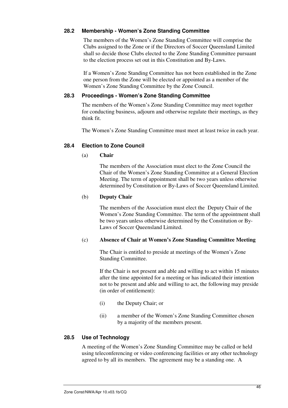#### **28.2 Membership - Women's Zone Standing Committee**

The members of the Women's Zone Standing Committee will comprise the Clubs assigned to the Zone or if the Directors of Soccer Queensland Limited shall so decide those Clubs elected to the Zone Standing Committee pursuant to the election process set out in this Constitution and By-Laws.

 If a Women's Zone Standing Committee has not been established in the Zone one person from the Zone will be elected or appointed as a member of the Women's Zone Standing Committee by the Zone Council.

#### **28.3 Proceedings - Women's Zone Standing Committee**

The members of the Women's Zone Standing Committee may meet together for conducting business, adjourn and otherwise regulate their meetings, as they think fit.

The Women's Zone Standing Committee must meet at least twice in each year.

#### **28.4 Election to Zone Council**

(a) **Chair** 

The members of the Association must elect to the Zone Council the Chair of the Women's Zone Standing Committee at a General Election Meeting. The term of appointment shall be two years unless otherwise determined by Constitution or By-Laws of Soccer Queensland Limited.

#### (b) **Deputy Chair**

The members of the Association must elect the Deputy Chair of the Women's Zone Standing Committee. The term of the appointment shall be two years unless otherwise determined by the Constitution or By-Laws of Soccer Queensland Limited.

#### (c) **Absence of Chair at Women's Zone Standing Committee Meeting**

The Chair is entitled to preside at meetings of the Women's Zone Standing Committee.

If the Chair is not present and able and willing to act within 15 minutes after the time appointed for a meeting or has indicated their intention not to be present and able and willing to act, the following may preside (in order of entitlement):

- (i) the Deputy Chair; or
- (ii) a member of the Women's Zone Standing Committee chosen by a majority of the members present.

#### **28.5 Use of Technology**

A meeting of the Women's Zone Standing Committee may be called or held using teleconferencing or video conferencing facilities or any other technology agreed to by all its members. The agreement may be a standing one. A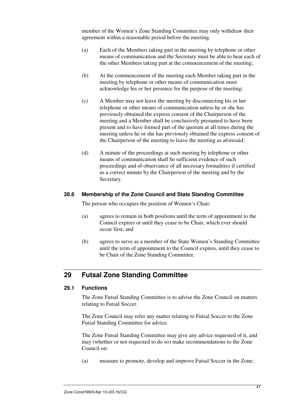member of the Women's Zone Standing Committee may only withdraw their agreement within a reasonable period before the meeting.

- (a) Each of the Members taking part in the meeting by telephone or other means of communication and the Secretary must be able to hear each of the other Members taking part at the commencement of the meeting;
- (b) At the commencement of the meeting each Member taking part in the meeting by telephone or other means of communication must acknowledge his or her presence for the purpose of the meeting;
- (c) A Member may not leave the meeting by disconnecting his or her telephone or other means of communication unless he or she has previously obtained the express consent of the Chairperson of the meeting and a Member shall be conclusively presumed to have been present and to have formed part of the quorum at all times during the meeting unless he or she has previously obtained the express consent of the Chairperson of the meeting to leave the meeting as aforesaid;
- (d) A minute of the proceedings at such meeting by telephone or other means of communication shall be sufficient evidence of such proceedings and of observance of all necessary formalities if certified as a correct minute by the Chairperson of the meeting and by the Secretary.

#### **28.6 Membership of the Zone Council and State Standing Committee**

The person who occupies the position of Women's Chair:

- (a) agrees to remain in both positions until the term of appointment to the Council expires or until they cease to be Chair, which ever should occur first; and
- (b) agrees to serve as a member of the State Women's Standing Committee until the term of appointment to the Council expires, until they cease to be Chair of the Zone Standing Committee.

# **29 Futsal Zone Standing Committee**

#### **29.1 Functions**

The Zone Futsal Standing Committee is to advise the Zone Council on matters relating to Futsal Soccer.

The Zone Council may refer any matter relating to Futsal Soccer to the Zone Futsal Standing Committee for advice.

The Zone Futsal Standing Committee may give any advice requested of it, and may (whether or not requested to do so) make recommendations to the Zone Council on:

(a) measure to promote, develop and improve Futsal Soccer in the Zone;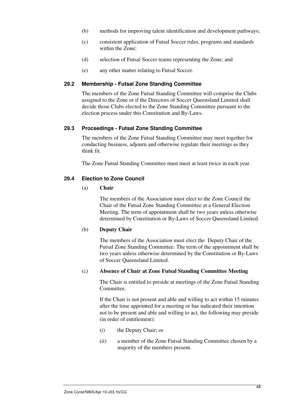- (b) methods for improving talent identification and development pathways;
- (c) consistent application of Futsal Soccer rules, programs and standards within the Zone;
- (d) selection of Futsal Soccer teams representing the Zone; and
- (e) any other matter relating to Futsal Soccer.

#### **29.2 Membership - Futsal Zone Standing Committee**

The members of the Zone Futsal Standing Committee will comprise the Clubs assigned to the Zone or if the Directors of Soccer Queensland Limited shall decide those Clubs elected to the Zone Standing Committee pursuant to the election process under this Constitution and By-Laws.

#### **29.3 Proceedings - Futsal Zone Standing Committee**

The members of the Zone Futsal Standing Committee may meet together for conducting business, adjourn and otherwise regulate their meetings as they think fit.

The Zone Futsal Standing Committee must meet at least twice in each year.

#### **29.4 Election to Zone Council**

#### (a) **Chair**

The members of the Association must elect to the Zone Council the Chair of the Futsal Zone Standing Committee at a General Election Meeting. The term of appointment shall be two years unless otherwise determined by Constitution or By-Laws of Soccer Queensland Limited.

#### (b) **Deputy Chair**

The members of the Association must elect the Deputy Chair of the Futsal Zone Standing Committee. The term of the appointment shall be two years unless otherwise determined by the Constitution or By-Laws of Soccer Queensland Limited.

#### (c) **Absence of Chair at Zone Futsal Standing Committee Meeting**

The Chair is entitled to preside at meetings of the Zone Futsal Standing Committee.

If the Chair is not present and able and willing to act within 15 minutes after the time appointed for a meeting or has indicated their intention not to be present and able and willing to act, the following may preside (in order of entitlement):

- (i) the Deputy Chair; or
- (ii) a member of the Zone Futsal Standing Committee chosen by a majority of the members present.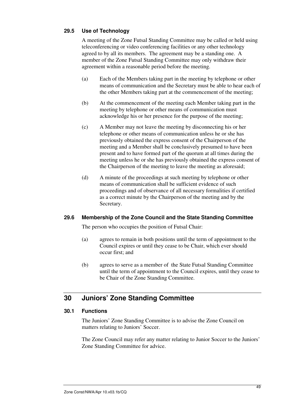#### **29.5 Use of Technology**

A meeting of the Zone Futsal Standing Committee may be called or held using teleconferencing or video conferencing facilities or any other technology agreed to by all its members. The agreement may be a standing one. A member of the Zone Futsal Standing Committee may only withdraw their agreement within a reasonable period before the meeting.

- (a) Each of the Members taking part in the meeting by telephone or other means of communication and the Secretary must be able to hear each of the other Members taking part at the commencement of the meeting;
- (b) At the commencement of the meeting each Member taking part in the meeting by telephone or other means of communication must acknowledge his or her presence for the purpose of the meeting;
- (c) A Member may not leave the meeting by disconnecting his or her telephone or other means of communication unless he or she has previously obtained the express consent of the Chairperson of the meeting and a Member shall be conclusively presumed to have been present and to have formed part of the quorum at all times during the meeting unless he or she has previously obtained the express consent of the Chairperson of the meeting to leave the meeting as aforesaid;
- (d) A minute of the proceedings at such meeting by telephone or other means of communication shall be sufficient evidence of such proceedings and of observance of all necessary formalities if certified as a correct minute by the Chairperson of the meeting and by the Secretary.

#### **29.6 Membership of the Zone Council and the State Standing Committee**

The person who occupies the position of Futsal Chair:

- (a) agrees to remain in both positions until the term of appointment to the Council expires or until they cease to be Chair, which ever should occur first; and
- (b) agrees to serve as a member of the State Futsal Standing Committee until the term of appointment to the Council expires, until they cease to be Chair of the Zone Standing Committee.

# **30 Juniors' Zone Standing Committee**

#### **30.1 Functions**

The Juniors' Zone Standing Committee is to advise the Zone Council on matters relating to Juniors' Soccer.

The Zone Council may refer any matter relating to Junior Soccer to the Juniors' Zone Standing Committee for advice.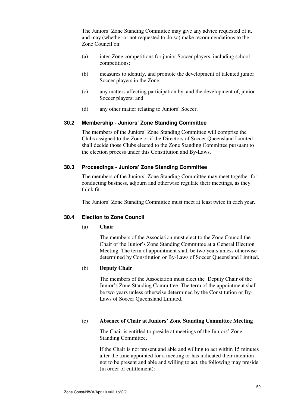The Juniors' Zone Standing Committee may give any advice requested of it, and may (whether or not requested to do so) make recommendations to the Zone Council on:

- (a) inter-Zone competitions for junior Soccer players, including school competitions;
- (b) measures to identify, and promote the development of talented junior Soccer players in the Zone;
- (c) any matters affecting participation by, and the development of, junior Soccer players; and
- (d) any other matter relating to Juniors' Soccer.

#### **30.2 Membership - Juniors' Zone Standing Committee**

The members of the Juniors' Zone Standing Committee will comprise the Clubs assigned to the Zone or if the Directors of Soccer Queensland Limited shall decide those Clubs elected to the Zone Standing Committee pursuant to the election process under this Constitution and By-Laws.

#### **30.3 Proceedings - Juniors' Zone Standing Committee**

The members of the Juniors' Zone Standing Committee may meet together for conducting business, adjourn and otherwise regulate their meetings, as they think fit.

The Juniors' Zone Standing Committee must meet at least twice in each year.

#### **30.4 Election to Zone Council**

#### (a) **Chair**

The members of the Association must elect to the Zone Council the Chair of the Junior's Zone Standing Committee at a General Election Meeting. The term of appointment shall be two years unless otherwise determined by Constitution or By-Laws of Soccer Queensland Limited.

#### (b) **Deputy Chair**

The members of the Association must elect the Deputy Chair of the Junior's Zone Standing Committee. The term of the appointment shall be two years unless otherwise determined by the Constitution or By-Laws of Soccer Queensland Limited.

#### (c) **Absence of Chair at Juniors' Zone Standing Committee Meeting**

The Chair is entitled to preside at meetings of the Juniors' Zone Standing Committee.

If the Chair is not present and able and willing to act within 15 minutes after the time appointed for a meeting or has indicated their intention not to be present and able and willing to act, the following may preside (in order of entitlement):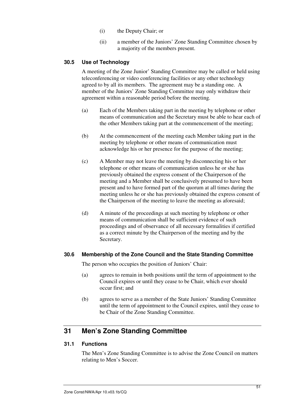- (i) the Deputy Chair; or
- (ii) a member of the Juniors' Zone Standing Committee chosen by a majority of the members present.

#### **30.5 Use of Technology**

A meeting of the Zone Junior' Standing Committee may be called or held using teleconferencing or video conferencing facilities or any other technology agreed to by all its members. The agreement may be a standing one. A member of the Juniors' Zone Standing Committee may only withdraw their agreement within a reasonable period before the meeting.

- (a) Each of the Members taking part in the meeting by telephone or other means of communication and the Secretary must be able to hear each of the other Members taking part at the commencement of the meeting;
- (b) At the commencement of the meeting each Member taking part in the meeting by telephone or other means of communication must acknowledge his or her presence for the purpose of the meeting;
- (c) A Member may not leave the meeting by disconnecting his or her telephone or other means of communication unless he or she has previously obtained the express consent of the Chairperson of the meeting and a Member shall be conclusively presumed to have been present and to have formed part of the quorum at all times during the meeting unless he or she has previously obtained the express consent of the Chairperson of the meeting to leave the meeting as aforesaid;
- (d) A minute of the proceedings at such meeting by telephone or other means of communication shall be sufficient evidence of such proceedings and of observance of all necessary formalities if certified as a correct minute by the Chairperson of the meeting and by the Secretary.

#### **30.6 Membership of the Zone Council and the State Standing Committee**

The person who occupies the position of Juniors' Chair:

- (a) agrees to remain in both positions until the term of appointment to the Council expires or until they cease to be Chair, which ever should occur first; and
- (b) agrees to serve as a member of the State Juniors' Standing Committee until the term of appointment to the Council expires, until they cease to be Chair of the Zone Standing Committee.

# **31 Men's Zone Standing Committee**

#### **31.1 Functions**

The Men's Zone Standing Committee is to advise the Zone Council on matters relating to Men's Soccer.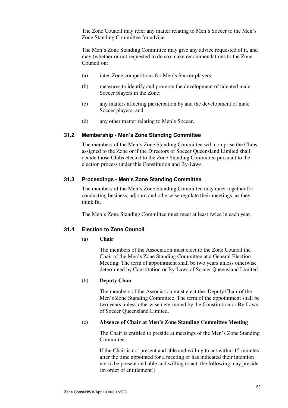The Zone Council may refer any matter relating to Men's Soccer to the Men's Zone Standing Committee for advice.

The Men's Zone Standing Committee may give any advice requested of it, and may (whether or not requested to do so) make recommendations to the Zone Council on:

- (a) inter-Zone competitions for Men's Soccer players,
- (b) measures to identify and promote the development of talented male Soccer players in the Zone;
- (c) any matters affecting participation by and the development of male Soccer players; and
- (d) any other matter relating to Men's Soccer.

#### **31.2 Membership - Men's Zone Standing Committee**

The members of the Men's Zone Standing Committee will comprise the Clubs assigned to the Zone or if the Directors of Soccer Queensland Limited shall decide those Clubs elected to the Zone Standing Committee pursuant to the election process under this Constitution and By-Laws.

#### **31.3 Proceedings - Men's Zone Standing Committee**

The members of the Men's Zone Standing Committee may meet together for conducting business, adjourn and otherwise regulate their meetings, as they think fit.

The Men's Zone Standing Committee must meet at least twice in each year.

#### **31.4 Election to Zone Council**

#### (a) **Chair**

The members of the Association must elect to the Zone Council the Chair of the Men's Zone Standing Committee at a General Election Meeting. The term of appointment shall be two years unless otherwise determined by Constitution or By-Laws of Soccer Queensland Limited.

#### (b) **Deputy Chair**

The members of the Association must elect the Deputy Chair of the Men's Zone Standing Committee. The term of the appointment shall be two years unless otherwise determined by the Constitution or By-Laws of Soccer Queensland Limited.

#### (c) **Absence of Chair at Men's Zone Standing Committee Meeting**

The Chair is entitled to preside at meetings of the Men's Zone Standing Committee.

If the Chair is not present and able and willing to act within 15 minutes after the time appointed for a meeting or has indicated their intention not to be present and able and willing to act, the following may preside (in order of entitlement):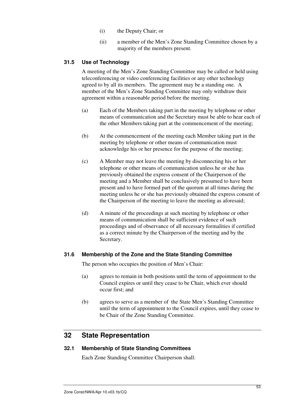- (i) the Deputy Chair; or
- (ii) a member of the Men's Zone Standing Committee chosen by a majority of the members present.

#### **31.5 Use of Technology**

A meeting of the Men's Zone Standing Committee may be called or held using teleconferencing or video conferencing facilities or any other technology agreed to by all its members. The agreement may be a standing one. A member of the Men's Zone Standing Committee may only withdraw their agreement within a reasonable period before the meeting.

- (a) Each of the Members taking part in the meeting by telephone or other means of communication and the Secretary must be able to hear each of the other Members taking part at the commencement of the meeting;
- (b) At the commencement of the meeting each Member taking part in the meeting by telephone or other means of communication must acknowledge his or her presence for the purpose of the meeting;
- (c) A Member may not leave the meeting by disconnecting his or her telephone or other means of communication unless he or she has previously obtained the express consent of the Chairperson of the meeting and a Member shall be conclusively presumed to have been present and to have formed part of the quorum at all times during the meeting unless he or she has previously obtained the express consent of the Chairperson of the meeting to leave the meeting as aforesaid;
- (d) A minute of the proceedings at such meeting by telephone or other means of communication shall be sufficient evidence of such proceedings and of observance of all necessary formalities if certified as a correct minute by the Chairperson of the meeting and by the Secretary.

#### **31.6 Membership of the Zone and the State Standing Committee**

The person who occupies the position of Men's Chair:

- (a) agrees to remain in both positions until the term of appointment to the Council expires or until they cease to be Chair, which ever should occur first; and
- (b) agrees to serve as a member of the State Men's Standing Committee until the term of appointment to the Council expires, until they cease to be Chair of the Zone Standing Committee.

#### **32 State Representation**

#### **32.1 Membership of State Standing Committees**

Each Zone Standing Committee Chairperson shall: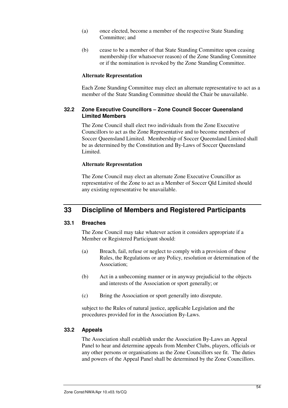- (a) once elected, become a member of the respective State Standing Committee; and
- (b) cease to be a member of that State Standing Committee upon ceasing membership (for whatsoever reason) of the Zone Standing Committee or if the nomination is revoked by the Zone Standing Committee.

#### **Alternate Representation**

Each Zone Standing Committee may elect an alternate representative to act as a member of the State Standing Committee should the Chair be unavailable.

#### **32.2 Zone Executive Councillors – Zone Council Soccer Queensland Limited Members**

The Zone Council shall elect two individuals from the Zone Executive Councillors to act as the Zone Representative and to become members of Soccer Queensland Limited. Membership of Soccer Queensland Limited shall be as determined by the Constitution and By-Laws of Soccer Queensland Limited.

#### **Alternate Representation**

The Zone Council may elect an alternate Zone Executive Councillor as representative of the Zone to act as a Member of Soccer Qld Limited should any existing representative be unavailable.

# **33 Discipline of Members and Registered Participants**

#### **33.1 Breaches**

The Zone Council may take whatever action it considers appropriate if a Member or Registered Participant should:

- (a) Breach, fail, refuse or neglect to comply with a provision of these Rules, the Regulations or any Policy, resolution or determination of the Association;
- (b) Act in a unbecoming manner or in anyway prejudicial to the objects and interests of the Association or sport generally; or
- (c) Bring the Association or sport generally into disrepute.

subject to the Rules of natural justice, applicable Legislation and the procedures provided for in the Association By-Laws.

#### **33.2 Appeals**

The Association shall establish under the Association By-Laws an Appeal Panel to hear and determine appeals from Member Clubs, players, officials or any other persons or organisations as the Zone Councillors see fit. The duties and powers of the Appeal Panel shall be determined by the Zone Councillors.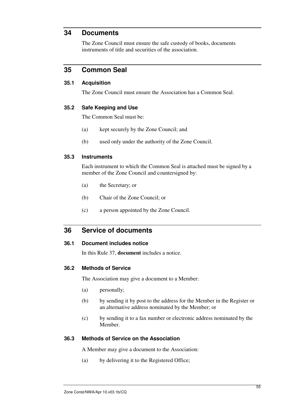# **34 Documents**

The Zone Council must ensure the safe custody of books, documents instruments of title and securities of the association.

# **35 Common Seal**

#### **35.1 Acquisition**

The Zone Council must ensure the Association has a Common Seal.

#### **35.2 Safe Keeping and Use**

The Common Seal must be:

- (a) kept securely by the Zone Council; and
- (b) used only under the authority of the Zone Council.

#### **35.3 Instruments**

Each instrument to which the Common Seal is attached must be signed by a member of the Zone Council and countersigned by:

- (a) the Secretary; or
- (b) Chair of the Zone Council; or
- (c) a person appointed by the Zone Council.

# **36 Service of documents**

#### **36.1 Document includes notice**

In this Rule 37, **document** includes a notice.

#### **36.2 Methods of Service**

The Association may give a document to a Member:

- (a) personally;
- (b) by sending it by post to the address for the Member in the Register or an alternative address nominated by the Member; or
- (c) by sending it to a fax number or electronic address nominated by the Member.

#### **36.3 Methods of Service on the Association**

A Member may give a document to the Association:

(a) by delivering it to the Registered Office;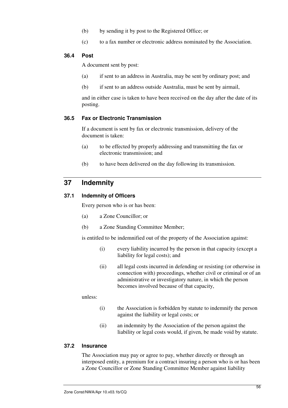- (b) by sending it by post to the Registered Office; or
- (c) to a fax number or electronic address nominated by the Association.

#### **36.4 Post**

A document sent by post:

- (a) if sent to an address in Australia, may be sent by ordinary post; and
- (b) if sent to an address outside Australia, must be sent by airmail,

and in either case is taken to have been received on the day after the date of its posting.

#### **36.5 Fax or Electronic Transmission**

If a document is sent by fax or electronic transmission, delivery of the document is taken:

- (a) to be effected by properly addressing and transmitting the fax or electronic transmission; and
- (b) to have been delivered on the day following its transmission.

# **37 Indemnity**

#### **37.1 Indemnity of Officers**

Every person who is or has been:

- (a) a Zone Councillor; or
- (b) a Zone Standing Committee Member;

is entitled to be indemnified out of the property of the Association against:

- (i) every liability incurred by the person in that capacity (except a liability for legal costs); and
- (ii) all legal costs incurred in defending or resisting (or otherwise in connection with) proceedings, whether civil or criminal or of an administrative or investigatory nature, in which the person becomes involved because of that capacity,

unless:

- (i) the Association is forbidden by statute to indemnify the person against the liability or legal costs; or
- (ii) an indemnity by the Association of the person against the liability or legal costs would, if given, be made void by statute.

#### **37.2 Insurance**

The Association may pay or agree to pay, whether directly or through an interposed entity, a premium for a contract insuring a person who is or has been a Zone Councillor or Zone Standing Committee Member against liability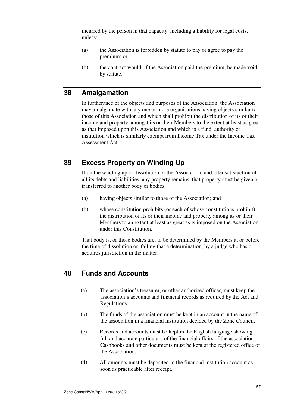incurred by the person in that capacity, including a liability for legal costs, unless:

- (a) the Association is forbidden by statute to pay or agree to pay the premium; or
- (b) the contract would, if the Association paid the premium, be made void by statute.

# **38 Amalgamation**

In furtherance of the objects and purposes of the Association, the Association may amalgamate with any one or more organisations having objects similar to those of this Association and which shall prohibit the distribution of its or their income and property amongst its or their Members to the extent at least as great as that imposed upon this Association and which is a fund, authority or institution which is similarly exempt from Income Tax under the Income Tax Assessment Act.

# **39 Excess Property on Winding Up**

If on the winding up or dissolution of the Association, and after satisfaction of all its debts and liabilities, any property remains, that property must be given or transferred to another body or bodies:

- (a) having objects similar to those of the Association; and
- (b) whose constitution prohibits (or each of whose constitutions prohibit) the distribution of its or their income and property among its or their Members to an extent at least as great as is imposed on the Association under this Constitution.

That body is, or those bodies are, to be determined by the Members at or before the time of dissolution or, failing that a determination, by a judge who has or acquires jurisdiction in the matter.

# **40 Funds and Accounts**

- (a) The association's treasurer, or other authorised officer, must keep the association's accounts and financial records as required by the Act and Regulations.
- (b) The funds of the association must be kept in an account in the name of the association in a financial institution decided by the Zone Council.
- (c) Records and accounts must be kept in the English language showing full and accurate particulars of the financial affairs of the association. Cashbooks and other documents must be kept at the registered office of the Association.
- (d) All amounts must be deposited in the financial institution account as soon as practicable after receipt.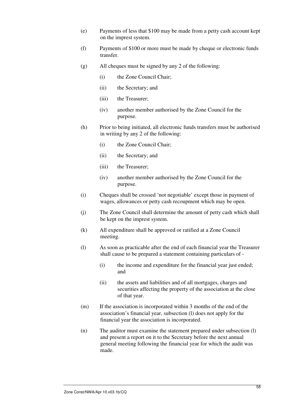- (e) Payments of less that \$100 may be made from a petty cash account kept on the imprest system.
- (f) Payments of \$100 or more must be made by cheque or electronic funds transfer.
- (g) All cheques must be signed by any 2 of the following:
	- (i) the Zone Council Chair;
	- (ii) the Secretary; and
	- (iii) the Treasurer;
	- (iv) another member authorised by the Zone Council for the purpose.
- (h) Prior to being initiated, all electronic funds transfers must be authorised in writing by any 2 of the following:
	- (i) the Zone Council Chair;
	- (ii) the Secretary; and
	- (iii) the Treasurer;
	- (iv) another member authorised by the Zone Council for the purpose.
- (i) Cheques shall be crossed 'not negotiable' except those in payment of wages, allowances or petty cash recoupment which may be open.
- (j) The Zone Council shall determine the amount of petty cash which shall be kept on the imprest system.
- (k) All expenditure shall be approved or ratified at a Zone Council meeting.
- (l) As soon as practicable after the end of each financial year the Treasurer shall cause to be prepared a statement containing particulars of -
	- (i) the income and expenditure for the financial year just ended; and
	- (ii) the assets and liabilities and of all mortgages, charges and securities affecting the property of the association at the close of that year.
- (m) If the association is incorporated within 3 months of the end of the association's financial year, subsection (l) does not apply for the financial year the association is incorporated.
- (n) The auditor must examine the statement prepared under subsection (l) and present a report on it to the Secretary before the next annual general meeting following the financial year for which the audit was made.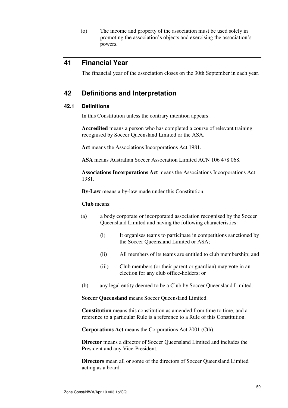(o) The income and property of the association must be used solely in promoting the association's objects and exercising the association's powers.

# **41 Financial Year**

The financial year of the association closes on the 30th September in each year.

# **42 Definitions and Interpretation**

#### **42.1 Definitions**

In this Constitution unless the contrary intention appears:

**Accredited** means a person who has completed a course of relevant training recognised by Soccer Queensland Limited or the ASA.

Act means the Associations Incorporations Act 1981.

**ASA** means Australian Soccer Association Limited ACN 106 478 068.

**Associations Incorporations Act** means the Associations Incorporations Act 1981.

**By-Law** means a by-law made under this Constitution.

**Club** means:

- (a) a body corporate or incorporated association recognised by the Soccer Queensland Limited and having the following characteristics:
	- (i) It organises teams to participate in competitions sanctioned by the Soccer Queensland Limited or ASA;
	- (ii) All members of its teams are entitled to club membership; and
	- (iii) Club members (or their parent or guardian) may vote in an election for any club office-holders; or
- (b) any legal entity deemed to be a Club by Soccer Queensland Limited.

**Soccer Queensland** means Soccer Queensland Limited.

**Constitution** means this constitution as amended from time to time, and a reference to a particular Rule is a reference to a Rule of this Constitution.

**Corporations Act** means the Corporations Act 2001 (Cth).

**Director** means a director of Soccer Queensland Limited and includes the President and any Vice-President.

**Directors** mean all or some of the directors of Soccer Queensland Limited acting as a board.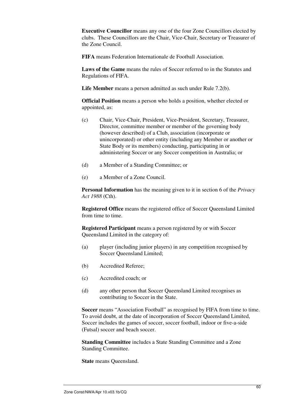**Executive Councillor** means any one of the four Zone Councillors elected by clubs. These Councillors are the Chair, Vice-Chair, Secretary or Treasurer of the Zone Council.

**FIFA** means Federation Internationale de Football Association.

**Laws of the Game** means the rules of Soccer referred to in the Statutes and Regulations of FIFA.

**Life Member** means a person admitted as such under Rule 7.2(b).

**Official Position** means a person who holds a position, whether elected or appointed, as:

- (c) Chair, Vice-Chair, President, Vice-President, Secretary, Treasurer, Director, committee member or member of the governing body (however described) of a Club, association (incorporate or unincorporated) or other entity (including any Member or another or State Body or its members) conducting, participating in or administering Soccer or any Soccer competition in Australia; or
- (d) a Member of a Standing Committee; or
- (e) a Member of a Zone Council.

**Personal Information** has the meaning given to it in section 6 of the *Privacy Act 1988* (Cth).

**Registered Office** means the registered office of Soccer Queensland Limited from time to time.

**Registered Participant** means a person registered by or with Soccer Queensland Limited in the category of:

- (a) player (including junior players) in any competition recognised by Soccer Queensland Limited;
- (b) Accredited Referee;
- (c) Accredited coach; or
- (d) any other person that Soccer Queensland Limited recognises as contributing to Soccer in the State.

**Soccer** means "Association Football" as recognised by FIFA from time to time. To avoid doubt, at the date of incorporation of Soccer Queensland Limited, Soccer includes the games of soccer, soccer football, indoor or five-a-side (Futsal) soccer and beach soccer.

**Standing Committee** includes a State Standing Committee and a Zone Standing Committee.

**State** means Queensland.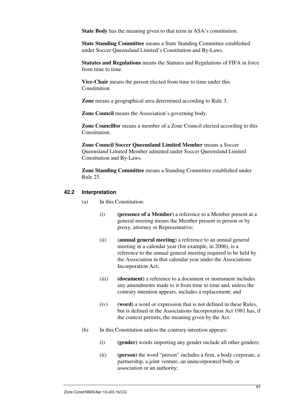**State Body** has the meaning given to that term in ASA's constitution.

**State Standing Committee** means a State Standing Committee established under Soccer Queensland Limited's Constitution and By-Laws.

**Statutes and Regulations** means the Statutes and Regulations of FIFA in force from time to time.

**Vice-Chair** means the person elected from time to time under this Constitution.

**Zone** means a geographical area determined according to Rule 3.

**Zone Council** means the Association's governing body.

**Zone Councillor** means a member of a Zone Council elected according to this Constitution.

**Zone Council Soccer Queensland Limited Member** means a Soccer Queensland Limited Member admitted under Soccer Queensland Limited Constitution and By-Laws.

**Zone Standing Committee** means a Standing Committee established under Rule 25.

#### **42.2 Interpretation**

- (a) In this Constitution:
	- (i) **(presence of a Member)** a reference to a Member present at a general meeting means the Member present in person or by proxy, attorney or Representative;
	- (ii) (**annual general meeting**) a reference to an annual general meeting in a calendar year (for example, in 2006), is a reference to the annual general meeting required to be held by the Association in that calendar year under the Associations Incorporation Act;
	- (iii) **(document)** a reference to a document or instrument includes any amendments made to it from time to time and, unless the contrary intention appears, includes a replacement; and
	- (iv) **(word)** a word or expression that is not defined in these Rules, but is defined in the Associations Incorporation Act 1981 has, if the context permits, the meaning given by the Act.
- (b) In this Constitution unless the contrary intention appears:
	- (i) **(gender)** words importing any gender include all other genders;
	- (ii) **(person)** the word "person" includes a firm, a body corporate, a partnership, a joint venture, an unincorporated body or association or an authority;